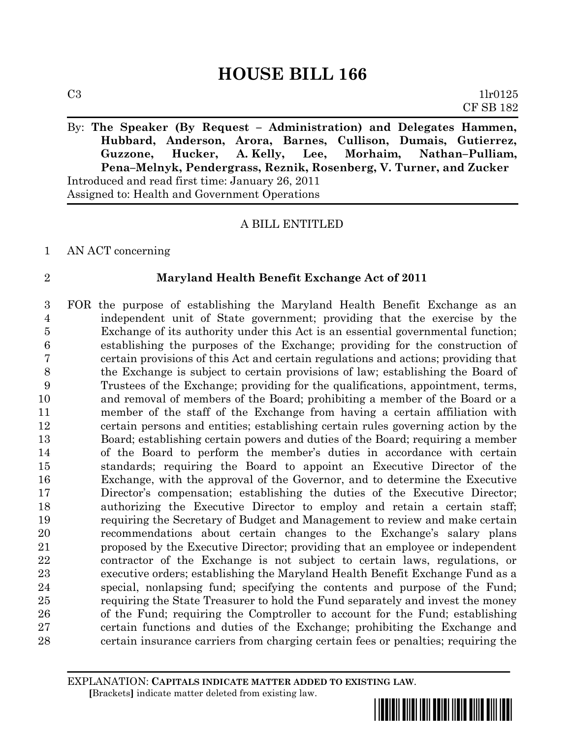By: **The Speaker (By Request – Administration) and Delegates Hammen, Hubbard, Anderson, Arora, Barnes, Cullison, Dumais, Gutierrez, Guzzone, Hucker, A. Kelly, Lee, Morhaim, Nathan–Pulliam, Pena–Melnyk, Pendergrass, Reznik, Rosenberg, V. Turner, and Zucker** Introduced and read first time: January 26, 2011 Assigned to: Health and Government Operations

# A BILL ENTITLED

AN ACT concerning

## **Maryland Health Benefit Exchange Act of 2011**

 FOR the purpose of establishing the Maryland Health Benefit Exchange as an independent unit of State government; providing that the exercise by the Exchange of its authority under this Act is an essential governmental function; establishing the purposes of the Exchange; providing for the construction of certain provisions of this Act and certain regulations and actions; providing that the Exchange is subject to certain provisions of law; establishing the Board of Trustees of the Exchange; providing for the qualifications, appointment, terms, and removal of members of the Board; prohibiting a member of the Board or a member of the staff of the Exchange from having a certain affiliation with certain persons and entities; establishing certain rules governing action by the Board; establishing certain powers and duties of the Board; requiring a member of the Board to perform the member's duties in accordance with certain standards; requiring the Board to appoint an Executive Director of the Exchange, with the approval of the Governor, and to determine the Executive Director's compensation; establishing the duties of the Executive Director; authorizing the Executive Director to employ and retain a certain staff; requiring the Secretary of Budget and Management to review and make certain recommendations about certain changes to the Exchange's salary plans proposed by the Executive Director; providing that an employee or independent contractor of the Exchange is not subject to certain laws, regulations, or executive orders; establishing the Maryland Health Benefit Exchange Fund as a special, nonlapsing fund; specifying the contents and purpose of the Fund; requiring the State Treasurer to hold the Fund separately and invest the money of the Fund; requiring the Comptroller to account for the Fund; establishing certain functions and duties of the Exchange; prohibiting the Exchange and certain insurance carriers from charging certain fees or penalties; requiring the

EXPLANATION: **CAPITALS INDICATE MATTER ADDED TO EXISTING LAW**.  **[**Brackets**]** indicate matter deleted from existing law.

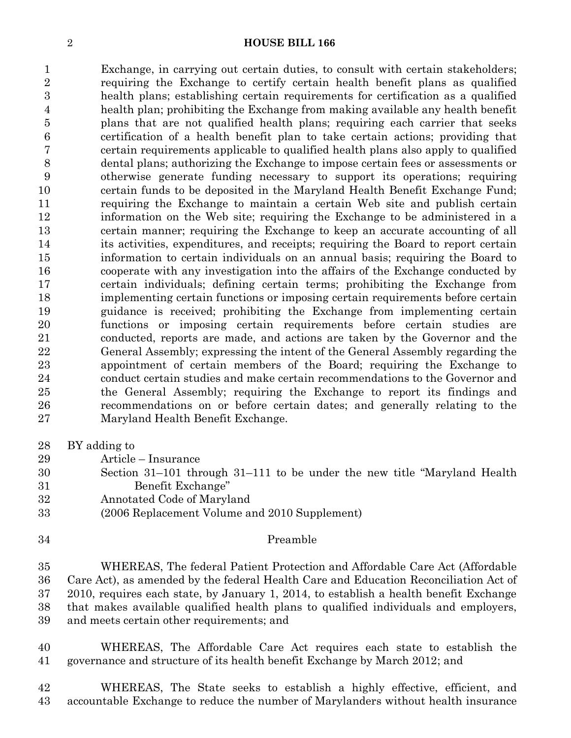Exchange, in carrying out certain duties, to consult with certain stakeholders; requiring the Exchange to certify certain health benefit plans as qualified health plans; establishing certain requirements for certification as a qualified health plan; prohibiting the Exchange from making available any health benefit plans that are not qualified health plans; requiring each carrier that seeks certification of a health benefit plan to take certain actions; providing that certain requirements applicable to qualified health plans also apply to qualified dental plans; authorizing the Exchange to impose certain fees or assessments or otherwise generate funding necessary to support its operations; requiring certain funds to be deposited in the Maryland Health Benefit Exchange Fund; requiring the Exchange to maintain a certain Web site and publish certain information on the Web site; requiring the Exchange to be administered in a certain manner; requiring the Exchange to keep an accurate accounting of all its activities, expenditures, and receipts; requiring the Board to report certain information to certain individuals on an annual basis; requiring the Board to cooperate with any investigation into the affairs of the Exchange conducted by certain individuals; defining certain terms; prohibiting the Exchange from implementing certain functions or imposing certain requirements before certain guidance is received; prohibiting the Exchange from implementing certain functions or imposing certain requirements before certain studies are conducted, reports are made, and actions are taken by the Governor and the General Assembly; expressing the intent of the General Assembly regarding the appointment of certain members of the Board; requiring the Exchange to conduct certain studies and make certain recommendations to the Governor and the General Assembly; requiring the Exchange to report its findings and recommendations on or before certain dates; and generally relating to the Maryland Health Benefit Exchange.

- BY adding to
- Article Insurance
- Section 31–101 through 31–111 to be under the new title "Maryland Health Benefit Exchange"
- Annotated Code of Maryland
- (2006 Replacement Volume and 2010 Supplement)
- 

## Preamble

 WHEREAS, The federal Patient Protection and Affordable Care Act (Affordable Care Act), as amended by the federal Health Care and Education Reconciliation Act of 2010, requires each state, by January 1, 2014, to establish a health benefit Exchange that makes available qualified health plans to qualified individuals and employers, and meets certain other requirements; and

 WHEREAS, The Affordable Care Act requires each state to establish the governance and structure of its health benefit Exchange by March 2012; and

 WHEREAS, The State seeks to establish a highly effective, efficient, and accountable Exchange to reduce the number of Marylanders without health insurance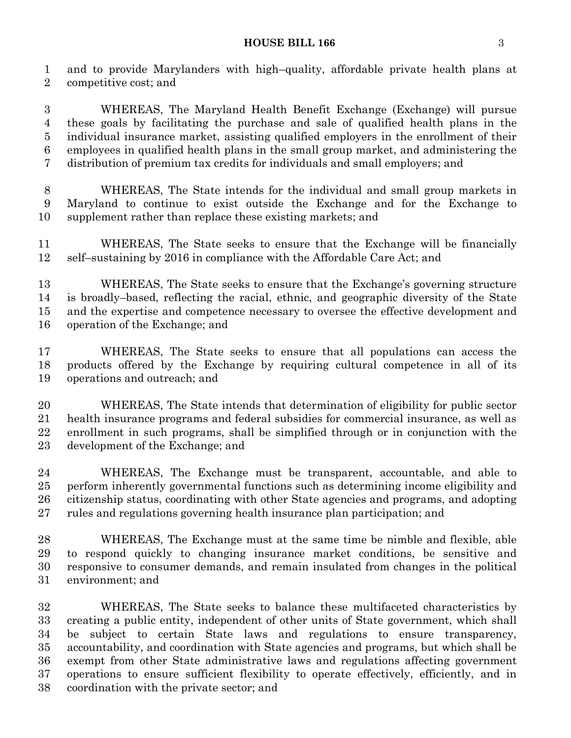## **HOUSE BILL 166** 3

 and to provide Marylanders with high–quality, affordable private health plans at competitive cost; and

 WHEREAS, The Maryland Health Benefit Exchange (Exchange) will pursue these goals by facilitating the purchase and sale of qualified health plans in the individual insurance market, assisting qualified employers in the enrollment of their employees in qualified health plans in the small group market, and administering the distribution of premium tax credits for individuals and small employers; and

 WHEREAS, The State intends for the individual and small group markets in Maryland to continue to exist outside the Exchange and for the Exchange to supplement rather than replace these existing markets; and

 WHEREAS, The State seeks to ensure that the Exchange will be financially self–sustaining by 2016 in compliance with the Affordable Care Act; and

 WHEREAS, The State seeks to ensure that the Exchange's governing structure is broadly–based, reflecting the racial, ethnic, and geographic diversity of the State and the expertise and competence necessary to oversee the effective development and operation of the Exchange; and

 WHEREAS, The State seeks to ensure that all populations can access the products offered by the Exchange by requiring cultural competence in all of its operations and outreach; and

 WHEREAS, The State intends that determination of eligibility for public sector health insurance programs and federal subsidies for commercial insurance, as well as enrollment in such programs, shall be simplified through or in conjunction with the development of the Exchange; and

 WHEREAS, The Exchange must be transparent, accountable, and able to perform inherently governmental functions such as determining income eligibility and citizenship status, coordinating with other State agencies and programs, and adopting rules and regulations governing health insurance plan participation; and

 WHEREAS, The Exchange must at the same time be nimble and flexible, able to respond quickly to changing insurance market conditions, be sensitive and responsive to consumer demands, and remain insulated from changes in the political environment; and

 WHEREAS, The State seeks to balance these multifaceted characteristics by creating a public entity, independent of other units of State government, which shall be subject to certain State laws and regulations to ensure transparency, accountability, and coordination with State agencies and programs, but which shall be exempt from other State administrative laws and regulations affecting government operations to ensure sufficient flexibility to operate effectively, efficiently, and in coordination with the private sector; and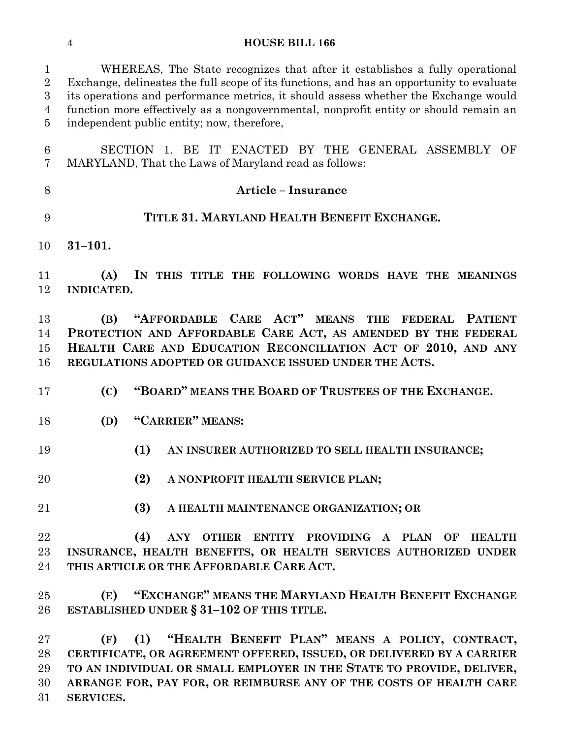| $\,6\,$<br>7<br>MARYLAND, That the Laws of Maryland read as follows:<br>8<br><b>Article - Insurance</b><br>TITLE 31. MARYLAND HEALTH BENEFIT EXCHANGE.<br>9<br>$31 - 101.$<br>10<br>11<br>(A)<br>12<br>INDICATED.<br>"AFFORDABLE CARE ACT" MEANS<br>13<br><b>THE</b><br>(B)<br><b>FEDERAL</b><br>14<br>15<br>16<br>REGULATIONS ADOPTED OR GUIDANCE ISSUED UNDER THE ACTS.<br>"BOARD" MEANS THE BOARD OF TRUSTEES OF THE EXCHANGE.<br>(C)<br>17<br>"CARRIER" MEANS:<br>(D)<br>18<br>19<br>(1)<br>AN INSURER AUTHORIZED TO SELL HEALTH INSURANCE;<br>(2)<br>20<br>A NONPROFIT HEALTH SERVICE PLAN;<br>(3)<br>21<br>A HEALTH MAINTENANCE ORGANIZATION; OR<br>22<br>(4)<br>23<br>THIS ARTICLE OR THE AFFORDABLE CARE ACT.<br>24<br>25<br>(E)<br>ESTABLISHED UNDER $\S 31-102$ OF THIS TITLE.<br>26<br>27<br>(1)<br>(F)<br>28<br>29 | $\mathbf{1}$<br>$\overline{2}$<br>$\boldsymbol{3}$<br>$\overline{4}$<br>$\overline{5}$ | WHEREAS, The State recognizes that after it establishes a fully operational<br>Exchange, delineates the full scope of its functions, and has an opportunity to evaluate<br>its operations and performance metrics, it should assess whether the Exchange would<br>function more effectively as a nongovernmental, nonprofit entity or should remain an<br>independent public entity; now, therefore, |
|--------------------------------------------------------------------------------------------------------------------------------------------------------------------------------------------------------------------------------------------------------------------------------------------------------------------------------------------------------------------------------------------------------------------------------------------------------------------------------------------------------------------------------------------------------------------------------------------------------------------------------------------------------------------------------------------------------------------------------------------------------------------------------------------------------------------------------|----------------------------------------------------------------------------------------|------------------------------------------------------------------------------------------------------------------------------------------------------------------------------------------------------------------------------------------------------------------------------------------------------------------------------------------------------------------------------------------------------|
|                                                                                                                                                                                                                                                                                                                                                                                                                                                                                                                                                                                                                                                                                                                                                                                                                                |                                                                                        | SECTION 1. BE IT ENACTED BY THE GENERAL ASSEMBLY OF                                                                                                                                                                                                                                                                                                                                                  |
|                                                                                                                                                                                                                                                                                                                                                                                                                                                                                                                                                                                                                                                                                                                                                                                                                                |                                                                                        |                                                                                                                                                                                                                                                                                                                                                                                                      |
|                                                                                                                                                                                                                                                                                                                                                                                                                                                                                                                                                                                                                                                                                                                                                                                                                                |                                                                                        |                                                                                                                                                                                                                                                                                                                                                                                                      |
|                                                                                                                                                                                                                                                                                                                                                                                                                                                                                                                                                                                                                                                                                                                                                                                                                                |                                                                                        |                                                                                                                                                                                                                                                                                                                                                                                                      |
|                                                                                                                                                                                                                                                                                                                                                                                                                                                                                                                                                                                                                                                                                                                                                                                                                                |                                                                                        | IN THIS TITLE THE FOLLOWING WORDS HAVE THE MEANINGS                                                                                                                                                                                                                                                                                                                                                  |
|                                                                                                                                                                                                                                                                                                                                                                                                                                                                                                                                                                                                                                                                                                                                                                                                                                |                                                                                        | <b>PATIENT</b><br>PROTECTION AND AFFORDABLE CARE ACT, AS AMENDED BY THE FEDERAL<br>HEALTH CARE AND EDUCATION RECONCILIATION ACT OF 2010, AND ANY                                                                                                                                                                                                                                                     |
|                                                                                                                                                                                                                                                                                                                                                                                                                                                                                                                                                                                                                                                                                                                                                                                                                                |                                                                                        |                                                                                                                                                                                                                                                                                                                                                                                                      |
|                                                                                                                                                                                                                                                                                                                                                                                                                                                                                                                                                                                                                                                                                                                                                                                                                                |                                                                                        |                                                                                                                                                                                                                                                                                                                                                                                                      |
|                                                                                                                                                                                                                                                                                                                                                                                                                                                                                                                                                                                                                                                                                                                                                                                                                                |                                                                                        |                                                                                                                                                                                                                                                                                                                                                                                                      |
|                                                                                                                                                                                                                                                                                                                                                                                                                                                                                                                                                                                                                                                                                                                                                                                                                                |                                                                                        |                                                                                                                                                                                                                                                                                                                                                                                                      |
|                                                                                                                                                                                                                                                                                                                                                                                                                                                                                                                                                                                                                                                                                                                                                                                                                                |                                                                                        |                                                                                                                                                                                                                                                                                                                                                                                                      |
|                                                                                                                                                                                                                                                                                                                                                                                                                                                                                                                                                                                                                                                                                                                                                                                                                                |                                                                                        | ANY OTHER ENTITY PROVIDING A PLAN OF HEALTH<br>INSURANCE, HEALTH BENEFITS, OR HEALTH SERVICES AUTHORIZED UNDER                                                                                                                                                                                                                                                                                       |
|                                                                                                                                                                                                                                                                                                                                                                                                                                                                                                                                                                                                                                                                                                                                                                                                                                |                                                                                        | "EXCHANGE" MEANS THE MARYLAND HEALTH BENEFIT EXCHANGE                                                                                                                                                                                                                                                                                                                                                |
| 31<br>SERVICES.                                                                                                                                                                                                                                                                                                                                                                                                                                                                                                                                                                                                                                                                                                                                                                                                                | 30                                                                                     | "HEALTH BENEFIT PLAN" MEANS A POLICY, CONTRACT,<br>CERTIFICATE, OR AGREEMENT OFFERED, ISSUED, OR DELIVERED BY A CARRIER<br>TO AN INDIVIDUAL OR SMALL EMPLOYER IN THE STATE TO PROVIDE, DELIVER,<br>ARRANGE FOR, PAY FOR, OR REIMBURSE ANY OF THE COSTS OF HEALTH CARE                                                                                                                                |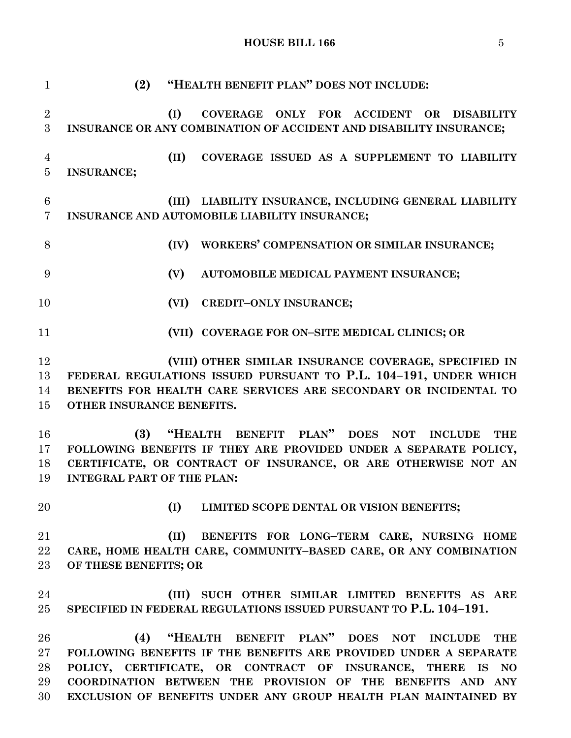## **HOUSE BILL 166** 5

 **(2) "HEALTH BENEFIT PLAN" DOES NOT INCLUDE: (I) COVERAGE ONLY FOR ACCIDENT OR DISABILITY INSURANCE OR ANY COMBINATION OF ACCIDENT AND DISABILITY INSURANCE; (II) COVERAGE ISSUED AS A SUPPLEMENT TO LIABILITY INSURANCE; (III) LIABILITY INSURANCE, INCLUDING GENERAL LIABILITY INSURANCE AND AUTOMOBILE LIABILITY INSURANCE; (IV) WORKERS' COMPENSATION OR SIMILAR INSURANCE; (V) AUTOMOBILE MEDICAL PAYMENT INSURANCE; (VI) CREDIT–ONLY INSURANCE; (VII) COVERAGE FOR ON–SITE MEDICAL CLINICS; OR (VIII) OTHER SIMILAR INSURANCE COVERAGE, SPECIFIED IN FEDERAL REGULATIONS ISSUED PURSUANT TO P.L. 104–191, UNDER WHICH BENEFITS FOR HEALTH CARE SERVICES ARE SECONDARY OR INCIDENTAL TO OTHER INSURANCE BENEFITS. (3) "HEALTH BENEFIT PLAN" DOES NOT INCLUDE THE FOLLOWING BENEFITS IF THEY ARE PROVIDED UNDER A SEPARATE POLICY, CERTIFICATE, OR CONTRACT OF INSURANCE, OR ARE OTHERWISE NOT AN INTEGRAL PART OF THE PLAN: (I) LIMITED SCOPE DENTAL OR VISION BENEFITS; (II) BENEFITS FOR LONG–TERM CARE, NURSING HOME CARE, HOME HEALTH CARE, COMMUNITY–BASED CARE, OR ANY COMBINATION OF THESE BENEFITS; OR (III) SUCH OTHER SIMILAR LIMITED BENEFITS AS ARE SPECIFIED IN FEDERAL REGULATIONS ISSUED PURSUANT TO P.L. 104–191. (4) "HEALTH BENEFIT PLAN" DOES NOT INCLUDE THE FOLLOWING BENEFITS IF THE BENEFITS ARE PROVIDED UNDER A SEPARATE POLICY, CERTIFICATE, OR CONTRACT OF INSURANCE, THERE IS NO COORDINATION BETWEEN THE PROVISION OF THE BENEFITS AND ANY EXCLUSION OF BENEFITS UNDER ANY GROUP HEALTH PLAN MAINTAINED BY**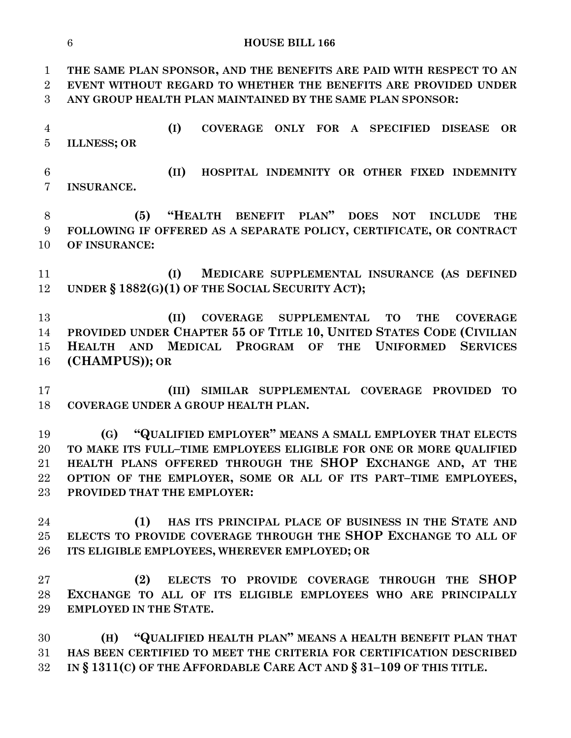**(G) "QUALIFIED EMPLOYER" MEANS A SMALL EMPLOYER THAT ELECTS TO MAKE ITS FULL–TIME EMPLOYEES ELIGIBLE FOR ONE OR MORE QUALIFIED HEALTH PLANS OFFERED THROUGH THE SHOP EXCHANGE AND, AT THE OPTION OF THE EMPLOYER, SOME OR ALL OF ITS PART–TIME EMPLOYEES, (1) HAS ITS PRINCIPAL PLACE OF BUSINESS IN THE STATE AND ELECTS TO PROVIDE COVERAGE THROUGH THE SHOP EXCHANGE TO ALL OF ITS ELIGIBLE EMPLOYEES, WHEREVER EMPLOYED; OR**

 **(2) ELECTS TO PROVIDE COVERAGE THROUGH THE SHOP EXCHANGE TO ALL OF ITS ELIGIBLE EMPLOYEES WHO ARE PRINCIPALLY EMPLOYED IN THE STATE.**

 **(H) "QUALIFIED HEALTH PLAN" MEANS A HEALTH BENEFIT PLAN THAT HAS BEEN CERTIFIED TO MEET THE CRITERIA FOR CERTIFICATION DESCRIBED IN § 1311(C) OF THE AFFORDABLE CARE ACT AND § 31–109 OF THIS TITLE.**

**HOUSE BILL 166**

 **THE SAME PLAN SPONSOR, AND THE BENEFITS ARE PAID WITH RESPECT TO AN EVENT WITHOUT REGARD TO WHETHER THE BENEFITS ARE PROVIDED UNDER ANY GROUP HEALTH PLAN MAINTAINED BY THE SAME PLAN SPONSOR:**

 **(I) COVERAGE ONLY FOR A SPECIFIED DISEASE OR ILLNESS; OR**

 **(II) HOSPITAL INDEMNITY OR OTHER FIXED INDEMNITY INSURANCE.**

 **(5) "HEALTH BENEFIT PLAN" DOES NOT INCLUDE THE FOLLOWING IF OFFERED AS A SEPARATE POLICY, CERTIFICATE, OR CONTRACT OF INSURANCE:**

 **(I) MEDICARE SUPPLEMENTAL INSURANCE (AS DEFINED UNDER § 1882(G)(1) OF THE SOCIAL SECURITY ACT);**

 **(II) COVERAGE SUPPLEMENTAL TO THE COVERAGE PROVIDED UNDER CHAPTER 55 OF TITLE 10, UNITED STATES CODE (CIVILIAN HEALTH AND MEDICAL PROGRAM OF THE UNIFORMED SERVICES (CHAMPUS)); OR**

 **(III) SIMILAR SUPPLEMENTAL COVERAGE PROVIDED TO COVERAGE UNDER A GROUP HEALTH PLAN.**

**PROVIDED THAT THE EMPLOYER:**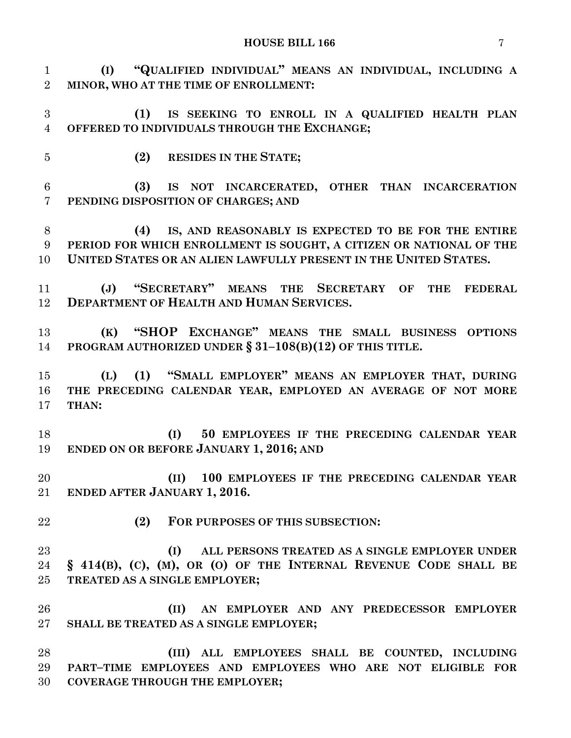**(I) "QUALIFIED INDIVIDUAL" MEANS AN INDIVIDUAL, INCLUDING A MINOR, WHO AT THE TIME OF ENROLLMENT:**

- **(1) IS SEEKING TO ENROLL IN A QUALIFIED HEALTH PLAN OFFERED TO INDIVIDUALS THROUGH THE EXCHANGE;**
- 

**(2) RESIDES IN THE STATE;**

 **(3) IS NOT INCARCERATED, OTHER THAN INCARCERATION PENDING DISPOSITION OF CHARGES; AND**

 **(4) IS, AND REASONABLY IS EXPECTED TO BE FOR THE ENTIRE PERIOD FOR WHICH ENROLLMENT IS SOUGHT, A CITIZEN OR NATIONAL OF THE UNITED STATES OR AN ALIEN LAWFULLY PRESENT IN THE UNITED STATES.**

 **(J) "SECRETARY" MEANS THE SECRETARY OF THE FEDERAL DEPARTMENT OF HEALTH AND HUMAN SERVICES.**

 **(K) "SHOP EXCHANGE" MEANS THE SMALL BUSINESS OPTIONS PROGRAM AUTHORIZED UNDER § 31–108(B)(12) OF THIS TITLE.**

 **(L) (1) "SMALL EMPLOYER" MEANS AN EMPLOYER THAT, DURING THE PRECEDING CALENDAR YEAR, EMPLOYED AN AVERAGE OF NOT MORE THAN:**

 **(I) 50 EMPLOYEES IF THE PRECEDING CALENDAR YEAR ENDED ON OR BEFORE JANUARY 1, 2016; AND**

 **(II) 100 EMPLOYEES IF THE PRECEDING CALENDAR YEAR ENDED AFTER JANUARY 1, 2016.**

**(2) FOR PURPOSES OF THIS SUBSECTION:**

 **(I) ALL PERSONS TREATED AS A SINGLE EMPLOYER UNDER § 414(B), (C), (M), OR (O) OF THE INTERNAL REVENUE CODE SHALL BE TREATED AS A SINGLE EMPLOYER;**

 **(II) AN EMPLOYER AND ANY PREDECESSOR EMPLOYER SHALL BE TREATED AS A SINGLE EMPLOYER;**

 **(III) ALL EMPLOYEES SHALL BE COUNTED, INCLUDING PART–TIME EMPLOYEES AND EMPLOYEES WHO ARE NOT ELIGIBLE FOR COVERAGE THROUGH THE EMPLOYER;**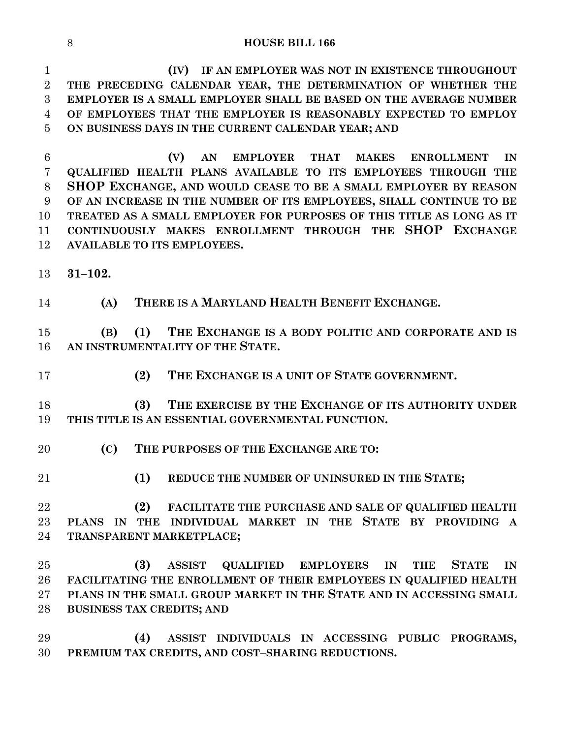**(IV) IF AN EMPLOYER WAS NOT IN EXISTENCE THROUGHOUT THE PRECEDING CALENDAR YEAR, THE DETERMINATION OF WHETHER THE EMPLOYER IS A SMALL EMPLOYER SHALL BE BASED ON THE AVERAGE NUMBER OF EMPLOYEES THAT THE EMPLOYER IS REASONABLY EXPECTED TO EMPLOY ON BUSINESS DAYS IN THE CURRENT CALENDAR YEAR; AND**

 **(V) AN EMPLOYER THAT MAKES ENROLLMENT IN QUALIFIED HEALTH PLANS AVAILABLE TO ITS EMPLOYEES THROUGH THE SHOP EXCHANGE, AND WOULD CEASE TO BE A SMALL EMPLOYER BY REASON OF AN INCREASE IN THE NUMBER OF ITS EMPLOYEES, SHALL CONTINUE TO BE TREATED AS A SMALL EMPLOYER FOR PURPOSES OF THIS TITLE AS LONG AS IT CONTINUOUSLY MAKES ENROLLMENT THROUGH THE SHOP EXCHANGE AVAILABLE TO ITS EMPLOYEES.**

**31–102.**

**(A) THERE IS A MARYLAND HEALTH BENEFIT EXCHANGE.**

 **(B) (1) THE EXCHANGE IS A BODY POLITIC AND CORPORATE AND IS AN INSTRUMENTALITY OF THE STATE.**

**(2) THE EXCHANGE IS A UNIT OF STATE GOVERNMENT.**

 **(3) THE EXERCISE BY THE EXCHANGE OF ITS AUTHORITY UNDER THIS TITLE IS AN ESSENTIAL GOVERNMENTAL FUNCTION.**

- **(C) THE PURPOSES OF THE EXCHANGE ARE TO:**
- 

**(1) REDUCE THE NUMBER OF UNINSURED IN THE STATE;**

 **(2) FACILITATE THE PURCHASE AND SALE OF QUALIFIED HEALTH PLANS IN THE INDIVIDUAL MARKET IN THE STATE BY PROVIDING A TRANSPARENT MARKETPLACE;**

 **(3) ASSIST QUALIFIED EMPLOYERS IN THE STATE IN FACILITATING THE ENROLLMENT OF THEIR EMPLOYEES IN QUALIFIED HEALTH PLANS IN THE SMALL GROUP MARKET IN THE STATE AND IN ACCESSING SMALL BUSINESS TAX CREDITS; AND**

 **(4) ASSIST INDIVIDUALS IN ACCESSING PUBLIC PROGRAMS, PREMIUM TAX CREDITS, AND COST–SHARING REDUCTIONS.**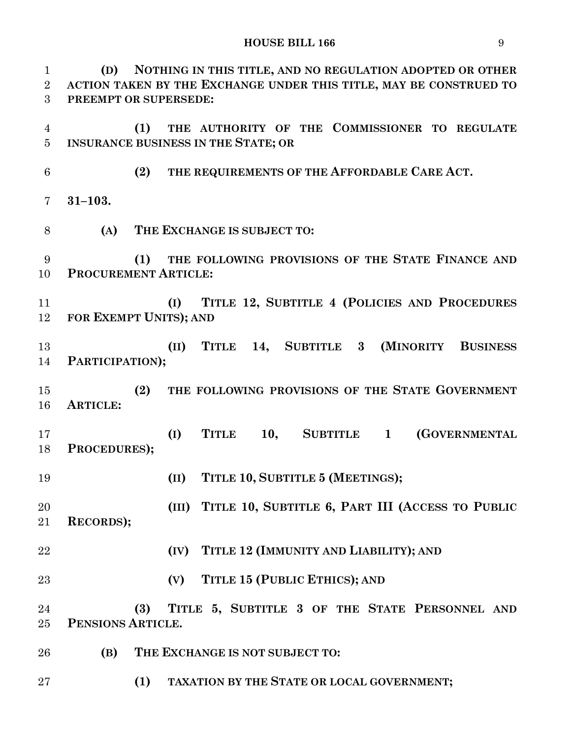**(D) NOTHING IN THIS TITLE, AND NO REGULATION ADOPTED OR OTHER ACTION TAKEN BY THE EXCHANGE UNDER THIS TITLE, MAY BE CONSTRUED TO PREEMPT OR SUPERSEDE: (1) THE AUTHORITY OF THE COMMISSIONER TO REGULATE INSURANCE BUSINESS IN THE STATE; OR (2) THE REQUIREMENTS OF THE AFFORDABLE CARE ACT. 31–103. (A) THE EXCHANGE IS SUBJECT TO: (1) THE FOLLOWING PROVISIONS OF THE STATE FINANCE AND PROCUREMENT ARTICLE: (I) TITLE 12, SUBTITLE 4 (POLICIES AND PROCEDURES FOR EXEMPT UNITS); AND (II) TITLE 14, SUBTITLE 3 (MINORITY BUSINESS PARTICIPATION); (2) THE FOLLOWING PROVISIONS OF THE STATE GOVERNMENT ARTICLE: (I) TITLE 10, SUBTITLE 1 (GOVERNMENTAL PROCEDURES); (II) TITLE 10, SUBTITLE 5 (MEETINGS); (III) TITLE 10, SUBTITLE 6, PART III (ACCESS TO PUBLIC RECORDS); (IV) TITLE 12 (IMMUNITY AND LIABILITY); AND (V) TITLE 15 (PUBLIC ETHICS); AND (3) TITLE 5, SUBTITLE 3 OF THE STATE PERSONNEL AND PENSIONS ARTICLE. (B) THE EXCHANGE IS NOT SUBJECT TO:**

**(1) TAXATION BY THE STATE OR LOCAL GOVERNMENT;**

## **HOUSE BILL 166** 9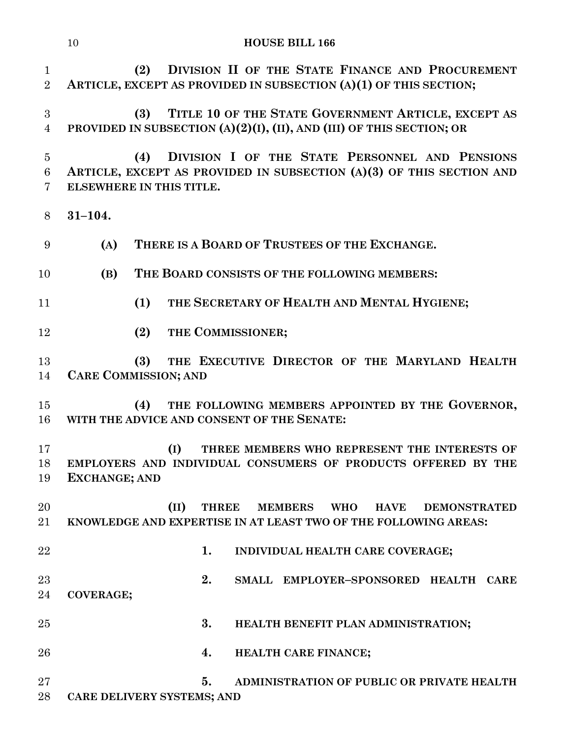|                                             | <b>HOUSE BILL 166</b><br>10                                                                                                                               |
|---------------------------------------------|-----------------------------------------------------------------------------------------------------------------------------------------------------------|
| $\mathbf{1}$<br>$\overline{2}$              | DIVISION II OF THE STATE FINANCE AND PROCUREMENT<br>(2)<br>ARTICLE, EXCEPT AS PROVIDED IN SUBSECTION (A)(1) OF THIS SECTION;                              |
| 3<br>$\overline{4}$                         | TITLE 10 OF THE STATE GOVERNMENT ARTICLE, EXCEPT AS<br>(3)<br>PROVIDED IN SUBSECTION (A)(2)(I), (II), AND (III) OF THIS SECTION; OR                       |
| $\overline{5}$<br>$\,6\,$<br>$\overline{7}$ | DIVISION I OF THE STATE PERSONNEL AND PENSIONS<br>(4)<br>ARTICLE, EXCEPT AS PROVIDED IN SUBSECTION (A)(3) OF THIS SECTION AND<br>ELSEWHERE IN THIS TITLE. |
| 8                                           | $31 - 104.$                                                                                                                                               |
| 9                                           | THERE IS A BOARD OF TRUSTEES OF THE EXCHANGE.<br>(A)                                                                                                      |
| 10                                          | (B)<br>THE BOARD CONSISTS OF THE FOLLOWING MEMBERS:                                                                                                       |
| 11                                          | THE SECRETARY OF HEALTH AND MENTAL HYGIENE;<br>(1)                                                                                                        |
| 12                                          | THE COMMISSIONER;<br>(2)                                                                                                                                  |
| 13<br>14                                    | THE EXECUTIVE DIRECTOR OF THE MARYLAND HEALTH<br>(3)<br><b>CARE COMMISSION; AND</b>                                                                       |
| 15<br>16                                    | THE FOLLOWING MEMBERS APPOINTED BY THE GOVERNOR,<br>(4)<br>WITH THE ADVICE AND CONSENT OF THE SENATE:                                                     |
| 17<br>18<br>19                              | (I)<br>THREE MEMBERS WHO REPRESENT THE INTERESTS OF<br>EMPLOYERS AND INDIVIDUAL CONSUMERS OF PRODUCTS OFFERED BY THE<br><b>EXCHANGE; AND</b>              |
| 20<br>21                                    | (II)<br>THREE MEMBERS WHO<br><b>HAVE</b><br><b>DEMONSTRATED</b><br>KNOWLEDGE AND EXPERTISE IN AT LEAST TWO OF THE FOLLOWING AREAS:                        |
| 22                                          | 1.<br>INDIVIDUAL HEALTH CARE COVERAGE;                                                                                                                    |
| 23<br>24                                    | 2.<br>SMALL EMPLOYER-SPONSORED HEALTH CARE<br><b>COVERAGE;</b>                                                                                            |
| 25                                          | 3.<br>HEALTH BENEFIT PLAN ADMINISTRATION;                                                                                                                 |
| 26                                          | 4.<br>HEALTH CARE FINANCE;                                                                                                                                |
| 27<br>28                                    | 5.<br>ADMINISTRATION OF PUBLIC OR PRIVATE HEALTH<br>CARE DELIVERY SYSTEMS; AND                                                                            |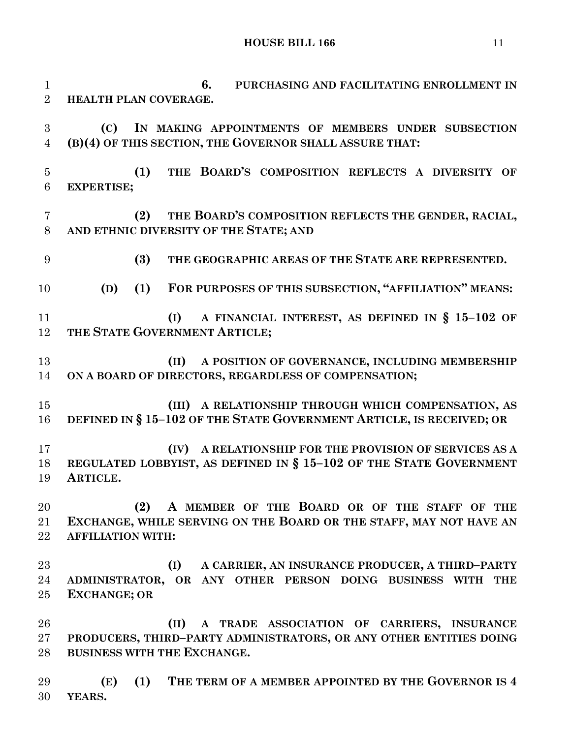**6. PURCHASING AND FACILITATING ENROLLMENT IN HEALTH PLAN COVERAGE. (C) IN MAKING APPOINTMENTS OF MEMBERS UNDER SUBSECTION (B)(4) OF THIS SECTION, THE GOVERNOR SHALL ASSURE THAT: (1) THE BOARD'S COMPOSITION REFLECTS A DIVERSITY OF EXPERTISE; (2) THE BOARD'S COMPOSITION REFLECTS THE GENDER, RACIAL, AND ETHNIC DIVERSITY OF THE STATE; AND (3) THE GEOGRAPHIC AREAS OF THE STATE ARE REPRESENTED. (D) (1) FOR PURPOSES OF THIS SUBSECTION, "AFFILIATION" MEANS: (I) A FINANCIAL INTEREST, AS DEFINED IN § 15–102 OF THE STATE GOVERNMENT ARTICLE; (II) A POSITION OF GOVERNANCE, INCLUDING MEMBERSHIP ON A BOARD OF DIRECTORS, REGARDLESS OF COMPENSATION; (III) A RELATIONSHIP THROUGH WHICH COMPENSATION, AS DEFINED IN § 15–102 OF THE STATE GOVERNMENT ARTICLE, IS RECEIVED; OR (IV) A RELATIONSHIP FOR THE PROVISION OF SERVICES AS A REGULATED LOBBYIST, AS DEFINED IN § 15–102 OF THE STATE GOVERNMENT ARTICLE. (2) A MEMBER OF THE BOARD OR OF THE STAFF OF THE EXCHANGE, WHILE SERVING ON THE BOARD OR THE STAFF, MAY NOT HAVE AN AFFILIATION WITH: (I) A CARRIER, AN INSURANCE PRODUCER, A THIRD–PARTY ADMINISTRATOR, OR ANY OTHER PERSON DOING BUSINESS WITH THE EXCHANGE; OR (II) A TRADE ASSOCIATION OF CARRIERS, INSURANCE PRODUCERS, THIRD–PARTY ADMINISTRATORS, OR ANY OTHER ENTITIES DOING BUSINESS WITH THE EXCHANGE. (E) (1) THE TERM OF A MEMBER APPOINTED BY THE GOVERNOR IS 4 YEARS.**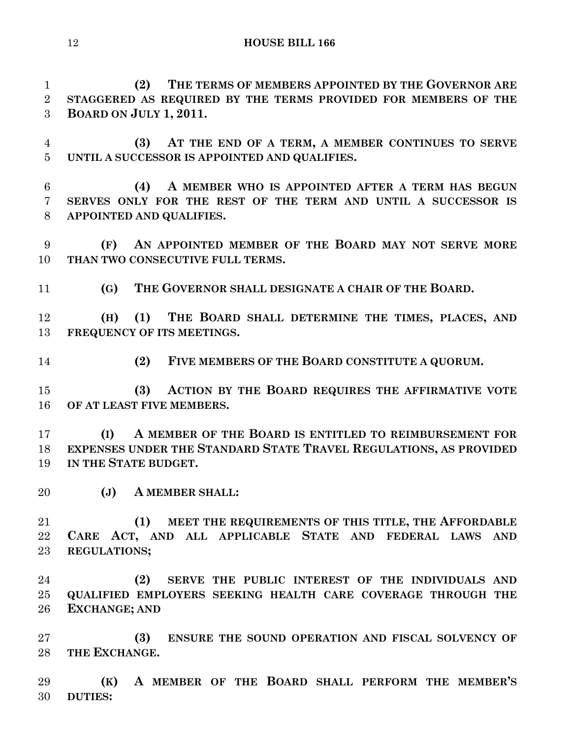**(2) THE TERMS OF MEMBERS APPOINTED BY THE GOVERNOR ARE STAGGERED AS REQUIRED BY THE TERMS PROVIDED FOR MEMBERS OF THE BOARD ON JULY 1, 2011. (3) AT THE END OF A TERM, A MEMBER CONTINUES TO SERVE UNTIL A SUCCESSOR IS APPOINTED AND QUALIFIES.**

 **(4) A MEMBER WHO IS APPOINTED AFTER A TERM HAS BEGUN SERVES ONLY FOR THE REST OF THE TERM AND UNTIL A SUCCESSOR IS APPOINTED AND QUALIFIES.**

 **(F) AN APPOINTED MEMBER OF THE BOARD MAY NOT SERVE MORE THAN TWO CONSECUTIVE FULL TERMS.**

**(G) THE GOVERNOR SHALL DESIGNATE A CHAIR OF THE BOARD.**

 **(H) (1) THE BOARD SHALL DETERMINE THE TIMES, PLACES, AND FREQUENCY OF ITS MEETINGS.**

**(2) FIVE MEMBERS OF THE BOARD CONSTITUTE A QUORUM.**

 **(3) ACTION BY THE BOARD REQUIRES THE AFFIRMATIVE VOTE OF AT LEAST FIVE MEMBERS.**

 **(I) A MEMBER OF THE BOARD IS ENTITLED TO REIMBURSEMENT FOR EXPENSES UNDER THE STANDARD STATE TRAVEL REGULATIONS, AS PROVIDED IN THE STATE BUDGET.**

**(J) A MEMBER SHALL:**

 **(1) MEET THE REQUIREMENTS OF THIS TITLE, THE AFFORDABLE CARE ACT, AND ALL APPLICABLE STATE AND FEDERAL LAWS AND REGULATIONS;**

 **(2) SERVE THE PUBLIC INTEREST OF THE INDIVIDUALS AND QUALIFIED EMPLOYERS SEEKING HEALTH CARE COVERAGE THROUGH THE EXCHANGE; AND** 

 **(3) ENSURE THE SOUND OPERATION AND FISCAL SOLVENCY OF THE EXCHANGE.**

 **(K) A MEMBER OF THE BOARD SHALL PERFORM THE MEMBER'S DUTIES:**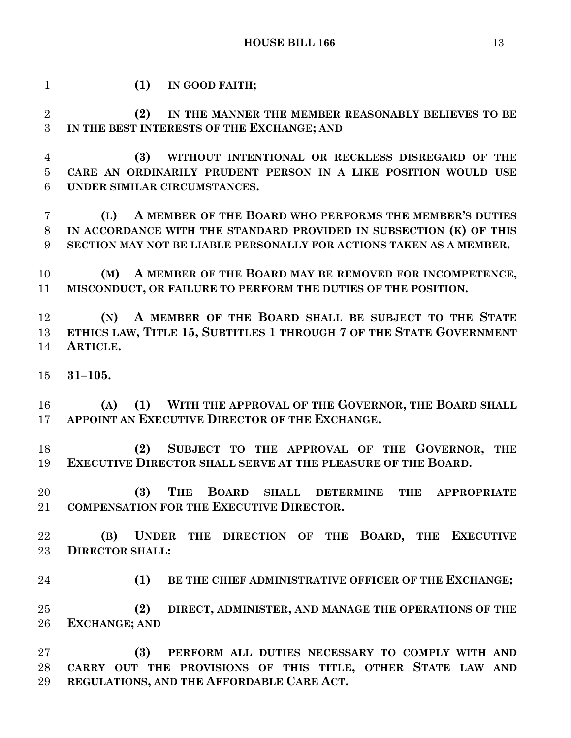| $\mathbf{1}$   | (1)<br>IN GOOD FAITH;                                                                                     |
|----------------|-----------------------------------------------------------------------------------------------------------|
| $\overline{2}$ | (2)<br>IN THE MANNER THE MEMBER REASONABLY BELIEVES TO BE                                                 |
| 3              | IN THE BEST INTERESTS OF THE EXCHANGE; AND                                                                |
| $\overline{4}$ | (3)<br>WITHOUT INTENTIONAL OR RECKLESS DISREGARD OF THE                                                   |
| $\overline{5}$ | CARE AN ORDINARILY PRUDENT PERSON IN A LIKE POSITION WOULD USE                                            |
| 6              | UNDER SIMILAR CIRCUMSTANCES.                                                                              |
| $\overline{7}$ | A MEMBER OF THE BOARD WHO PERFORMS THE MEMBER'S DUTIES<br>(L)                                             |
| $8\,$          | IN ACCORDANCE WITH THE STANDARD PROVIDED IN SUBSECTION (K) OF THIS                                        |
| 9              | SECTION MAY NOT BE LIABLE PERSONALLY FOR ACTIONS TAKEN AS A MEMBER.                                       |
| 10             | A MEMBER OF THE BOARD MAY BE REMOVED FOR INCOMPETENCE,<br>(M)                                             |
| 11             | MISCONDUCT, OR FAILURE TO PERFORM THE DUTIES OF THE POSITION.                                             |
| 12             | A MEMBER OF THE BOARD SHALL BE SUBJECT TO THE STATE<br>(N)                                                |
| 13             | ETHICS LAW, TITLE 15, SUBTITLES 1 THROUGH 7 OF THE STATE GOVERNMENT                                       |
| 14             | ARTICLE.                                                                                                  |
| 15             | $31 - 105.$                                                                                               |
| 16             | (1) WITH THE APPROVAL OF THE GOVERNOR, THE BOARD SHALL<br>(A)                                             |
| 17             | APPOINT AN EXECUTIVE DIRECTOR OF THE EXCHANGE.                                                            |
| 18             | SUBJECT TO THE APPROVAL OF THE GOVERNOR, THE<br>(2)                                                       |
| 19             | EXECUTIVE DIRECTOR SHALL SERVE AT THE PLEASURE OF THE BOARD.                                              |
| 20             | (3)<br><b>THE</b><br><b>BOARD</b><br><b>DETERMINE</b><br><b>SHALL</b><br><b>THE</b><br><b>APPROPRIATE</b> |
| 21             | <b>COMPENSATION FOR THE EXECUTIVE DIRECTOR.</b>                                                           |
| 22             | UNDER THE DIRECTION OF THE BOARD, THE EXECUTIVE<br>(B)                                                    |
| 23             | <b>DIRECTOR SHALL:</b>                                                                                    |
| 24             | (1)<br>BE THE CHIEF ADMINISTRATIVE OFFICER OF THE EXCHANGE;                                               |
| 25             | (2)<br>DIRECT, ADMINISTER, AND MANAGE THE OPERATIONS OF THE                                               |
| 26             | <b>EXCHANGE; AND</b>                                                                                      |
| 27             | (3)<br>PERFORM ALL DUTIES NECESSARY TO COMPLY WITH AND                                                    |
| 28             | CARRY OUT THE PROVISIONS OF THIS TITLE, OTHER STATE LAW AND                                               |
| 29             | REGULATIONS, AND THE AFFORDABLE CARE ACT.                                                                 |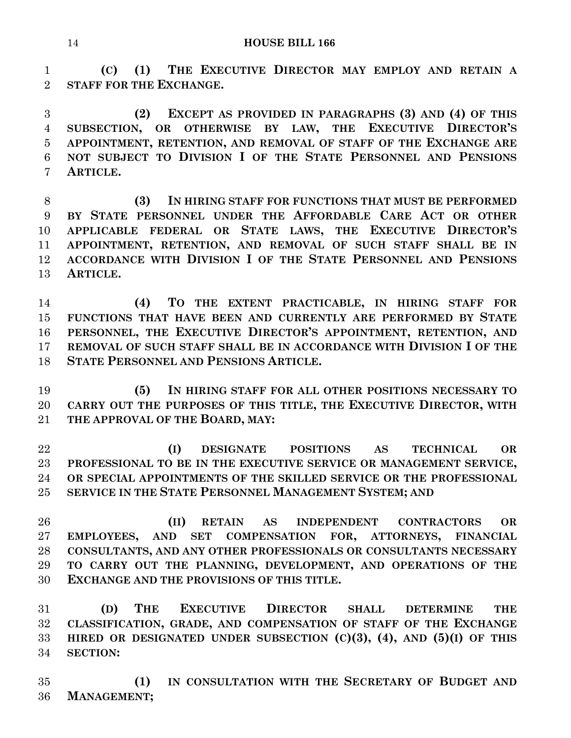**(C) (1) THE EXECUTIVE DIRECTOR MAY EMPLOY AND RETAIN A STAFF FOR THE EXCHANGE.**

 **(2) EXCEPT AS PROVIDED IN PARAGRAPHS (3) AND (4) OF THIS SUBSECTION, OR OTHERWISE BY LAW, THE EXECUTIVE DIRECTOR'S APPOINTMENT, RETENTION, AND REMOVAL OF STAFF OF THE EXCHANGE ARE NOT SUBJECT TO DIVISION I OF THE STATE PERSONNEL AND PENSIONS ARTICLE.**

 **(3) IN HIRING STAFF FOR FUNCTIONS THAT MUST BE PERFORMED BY STATE PERSONNEL UNDER THE AFFORDABLE CARE ACT OR OTHER APPLICABLE FEDERAL OR STATE LAWS, THE EXECUTIVE DIRECTOR'S APPOINTMENT, RETENTION, AND REMOVAL OF SUCH STAFF SHALL BE IN ACCORDANCE WITH DIVISION I OF THE STATE PERSONNEL AND PENSIONS ARTICLE.**

 **(4) TO THE EXTENT PRACTICABLE, IN HIRING STAFF FOR FUNCTIONS THAT HAVE BEEN AND CURRENTLY ARE PERFORMED BY STATE PERSONNEL, THE EXECUTIVE DIRECTOR'S APPOINTMENT, RETENTION, AND REMOVAL OF SUCH STAFF SHALL BE IN ACCORDANCE WITH DIVISION I OF THE STATE PERSONNEL AND PENSIONS ARTICLE.**

 **(5) IN HIRING STAFF FOR ALL OTHER POSITIONS NECESSARY TO CARRY OUT THE PURPOSES OF THIS TITLE, THE EXECUTIVE DIRECTOR, WITH THE APPROVAL OF THE BOARD, MAY:**

 **(I) DESIGNATE POSITIONS AS TECHNICAL OR PROFESSIONAL TO BE IN THE EXECUTIVE SERVICE OR MANAGEMENT SERVICE, OR SPECIAL APPOINTMENTS OF THE SKILLED SERVICE OR THE PROFESSIONAL SERVICE IN THE STATE PERSONNEL MANAGEMENT SYSTEM; AND**

 **(II) RETAIN AS INDEPENDENT CONTRACTORS OR EMPLOYEES, AND SET COMPENSATION FOR, ATTORNEYS, FINANCIAL CONSULTANTS, AND ANY OTHER PROFESSIONALS OR CONSULTANTS NECESSARY TO CARRY OUT THE PLANNING, DEVELOPMENT, AND OPERATIONS OF THE EXCHANGE AND THE PROVISIONS OF THIS TITLE.**

 **(D) THE EXECUTIVE DIRECTOR SHALL DETERMINE THE CLASSIFICATION, GRADE, AND COMPENSATION OF STAFF OF THE EXCHANGE HIRED OR DESIGNATED UNDER SUBSECTION (C)(3), (4), AND (5)(I) OF THIS SECTION:**

 **(1) IN CONSULTATION WITH THE SECRETARY OF BUDGET AND MANAGEMENT;**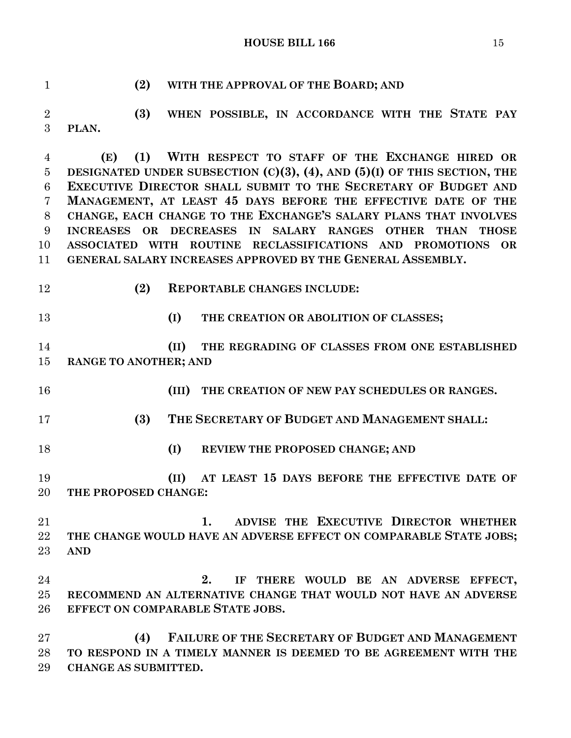**HOUSE BILL 166** 15

 **(2) WITH THE APPROVAL OF THE BOARD; AND (3) WHEN POSSIBLE, IN ACCORDANCE WITH THE STATE PAY PLAN. (E) (1) WITH RESPECT TO STAFF OF THE EXCHANGE HIRED OR DESIGNATED UNDER SUBSECTION (C)(3), (4), AND (5)(I) OF THIS SECTION, THE EXECUTIVE DIRECTOR SHALL SUBMIT TO THE SECRETARY OF BUDGET AND MANAGEMENT, AT LEAST 45 DAYS BEFORE THE EFFECTIVE DATE OF THE CHANGE, EACH CHANGE TO THE EXCHANGE'S SALARY PLANS THAT INVOLVES INCREASES OR DECREASES IN SALARY RANGES OTHER THAN THOSE ASSOCIATED WITH ROUTINE RECLASSIFICATIONS AND PROMOTIONS OR GENERAL SALARY INCREASES APPROVED BY THE GENERAL ASSEMBLY. (2) REPORTABLE CHANGES INCLUDE: (I) THE CREATION OR ABOLITION OF CLASSES; (II) THE REGRADING OF CLASSES FROM ONE ESTABLISHED RANGE TO ANOTHER; AND (III) THE CREATION OF NEW PAY SCHEDULES OR RANGES. (3) THE SECRETARY OF BUDGET AND MANAGEMENT SHALL: (I) REVIEW THE PROPOSED CHANGE; AND (II) AT LEAST 15 DAYS BEFORE THE EFFECTIVE DATE OF THE PROPOSED CHANGE: 1. ADVISE THE EXECUTIVE DIRECTOR WHETHER THE CHANGE WOULD HAVE AN ADVERSE EFFECT ON COMPARABLE STATE JOBS; AND 2. IF THERE WOULD BE AN ADVERSE EFFECT, RECOMMEND AN ALTERNATIVE CHANGE THAT WOULD NOT HAVE AN ADVERSE EFFECT ON COMPARABLE STATE JOBS. (4) FAILURE OF THE SECRETARY OF BUDGET AND MANAGEMENT TO RESPOND IN A TIMELY MANNER IS DEEMED TO BE AGREEMENT WITH THE** 

**CHANGE AS SUBMITTED.**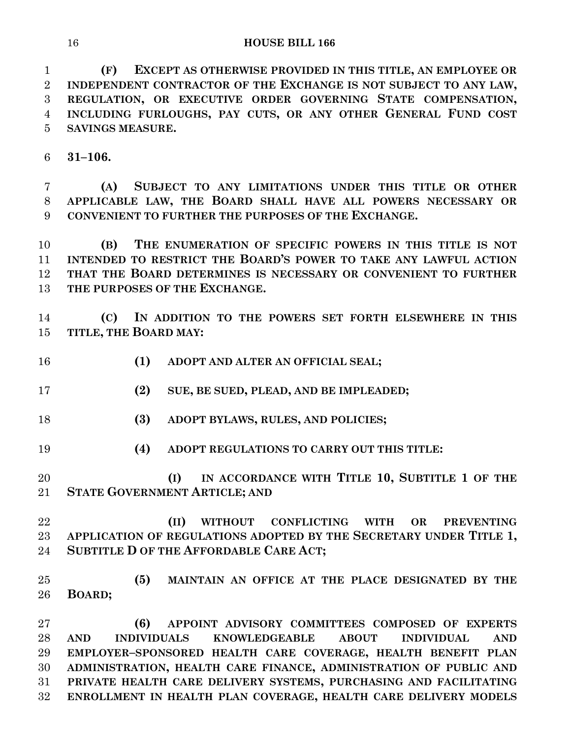**(F) EXCEPT AS OTHERWISE PROVIDED IN THIS TITLE, AN EMPLOYEE OR INDEPENDENT CONTRACTOR OF THE EXCHANGE IS NOT SUBJECT TO ANY LAW, REGULATION, OR EXECUTIVE ORDER GOVERNING STATE COMPENSATION, INCLUDING FURLOUGHS, PAY CUTS, OR ANY OTHER GENERAL FUND COST SAVINGS MEASURE.**

**31–106.**

 **(A) SUBJECT TO ANY LIMITATIONS UNDER THIS TITLE OR OTHER APPLICABLE LAW, THE BOARD SHALL HAVE ALL POWERS NECESSARY OR CONVENIENT TO FURTHER THE PURPOSES OF THE EXCHANGE.**

 **(B) THE ENUMERATION OF SPECIFIC POWERS IN THIS TITLE IS NOT INTENDED TO RESTRICT THE BOARD'S POWER TO TAKE ANY LAWFUL ACTION THAT THE BOARD DETERMINES IS NECESSARY OR CONVENIENT TO FURTHER THE PURPOSES OF THE EXCHANGE.**

 **(C) IN ADDITION TO THE POWERS SET FORTH ELSEWHERE IN THIS TITLE, THE BOARD MAY:**

**(1) ADOPT AND ALTER AN OFFICIAL SEAL;**

**(2) SUE, BE SUED, PLEAD, AND BE IMPLEADED;**

- **(3) ADOPT BYLAWS, RULES, AND POLICIES;**
- **(4) ADOPT REGULATIONS TO CARRY OUT THIS TITLE:**
- **(I) IN ACCORDANCE WITH TITLE 10, SUBTITLE 1 OF THE STATE GOVERNMENT ARTICLE; AND**

 **(II) WITHOUT CONFLICTING WITH OR PREVENTING APPLICATION OF REGULATIONS ADOPTED BY THE SECRETARY UNDER TITLE 1, SUBTITLE D OF THE AFFORDABLE CARE ACT;**

 **(5) MAINTAIN AN OFFICE AT THE PLACE DESIGNATED BY THE BOARD;**

 **(6) APPOINT ADVISORY COMMITTEES COMPOSED OF EXPERTS AND INDIVIDUALS KNOWLEDGEABLE ABOUT INDIVIDUAL AND EMPLOYER–SPONSORED HEALTH CARE COVERAGE, HEALTH BENEFIT PLAN ADMINISTRATION, HEALTH CARE FINANCE, ADMINISTRATION OF PUBLIC AND PRIVATE HEALTH CARE DELIVERY SYSTEMS, PURCHASING AND FACILITATING ENROLLMENT IN HEALTH PLAN COVERAGE, HEALTH CARE DELIVERY MODELS**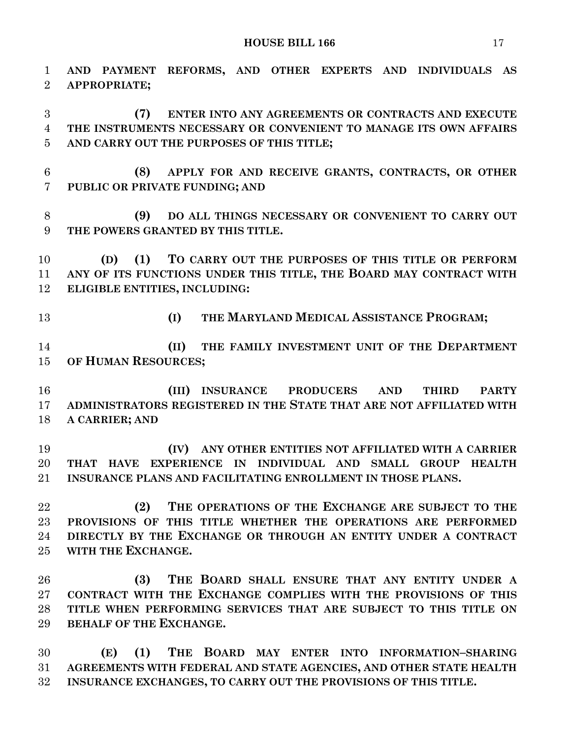**AND PAYMENT REFORMS, AND OTHER EXPERTS AND INDIVIDUALS AS APPROPRIATE; (7) ENTER INTO ANY AGREEMENTS OR CONTRACTS AND EXECUTE THE INSTRUMENTS NECESSARY OR CONVENIENT TO MANAGE ITS OWN AFFAIRS AND CARRY OUT THE PURPOSES OF THIS TITLE; (8) APPLY FOR AND RECEIVE GRANTS, CONTRACTS, OR OTHER PUBLIC OR PRIVATE FUNDING; AND (9) DO ALL THINGS NECESSARY OR CONVENIENT TO CARRY OUT THE POWERS GRANTED BY THIS TITLE. (D) (1) TO CARRY OUT THE PURPOSES OF THIS TITLE OR PERFORM ANY OF ITS FUNCTIONS UNDER THIS TITLE, THE BOARD MAY CONTRACT WITH ELIGIBLE ENTITIES, INCLUDING: (I) THE MARYLAND MEDICAL ASSISTANCE PROGRAM; (II) THE FAMILY INVESTMENT UNIT OF THE DEPARTMENT OF HUMAN RESOURCES; (III) INSURANCE PRODUCERS AND THIRD PARTY ADMINISTRATORS REGISTERED IN THE STATE THAT ARE NOT AFFILIATED WITH A CARRIER; AND (IV) ANY OTHER ENTITIES NOT AFFILIATED WITH A CARRIER THAT HAVE EXPERIENCE IN INDIVIDUAL AND SMALL GROUP HEALTH INSURANCE PLANS AND FACILITATING ENROLLMENT IN THOSE PLANS. (2) THE OPERATIONS OF THE EXCHANGE ARE SUBJECT TO THE PROVISIONS OF THIS TITLE WHETHER THE OPERATIONS ARE PERFORMED DIRECTLY BY THE EXCHANGE OR THROUGH AN ENTITY UNDER A CONTRACT WITH THE EXCHANGE. (3) THE BOARD SHALL ENSURE THAT ANY ENTITY UNDER A CONTRACT WITH THE EXCHANGE COMPLIES WITH THE PROVISIONS OF THIS TITLE WHEN PERFORMING SERVICES THAT ARE SUBJECT TO THIS TITLE ON BEHALF OF THE EXCHANGE. (E) (1) THE BOARD MAY ENTER INTO INFORMATION–SHARING AGREEMENTS WITH FEDERAL AND STATE AGENCIES, AND OTHER STATE HEALTH** 

**INSURANCE EXCHANGES, TO CARRY OUT THE PROVISIONS OF THIS TITLE.**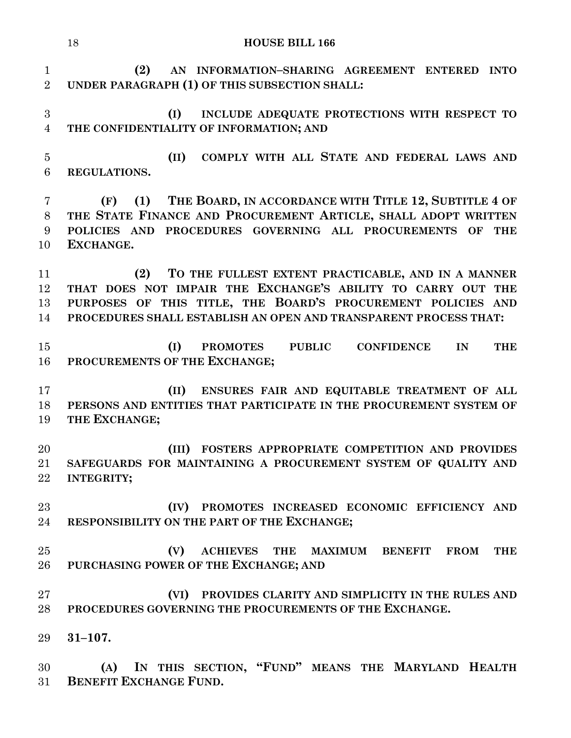**(2) AN INFORMATION–SHARING AGREEMENT ENTERED INTO UNDER PARAGRAPH (1) OF THIS SUBSECTION SHALL: (I) INCLUDE ADEQUATE PROTECTIONS WITH RESPECT TO THE CONFIDENTIALITY OF INFORMATION; AND (II) COMPLY WITH ALL STATE AND FEDERAL LAWS AND REGULATIONS. (F) (1) THE BOARD, IN ACCORDANCE WITH TITLE 12, SUBTITLE 4 OF THE STATE FINANCE AND PROCUREMENT ARTICLE, SHALL ADOPT WRITTEN POLICIES AND PROCEDURES GOVERNING ALL PROCUREMENTS OF THE EXCHANGE. (2) TO THE FULLEST EXTENT PRACTICABLE, AND IN A MANNER THAT DOES NOT IMPAIR THE EXCHANGE'S ABILITY TO CARRY OUT THE PURPOSES OF THIS TITLE, THE BOARD'S PROCUREMENT POLICIES AND PROCEDURES SHALL ESTABLISH AN OPEN AND TRANSPARENT PROCESS THAT: (I) PROMOTES PUBLIC CONFIDENCE IN THE PROCUREMENTS OF THE EXCHANGE; (II) ENSURES FAIR AND EQUITABLE TREATMENT OF ALL PERSONS AND ENTITIES THAT PARTICIPATE IN THE PROCUREMENT SYSTEM OF THE EXCHANGE; (III) FOSTERS APPROPRIATE COMPETITION AND PROVIDES SAFEGUARDS FOR MAINTAINING A PROCUREMENT SYSTEM OF QUALITY AND INTEGRITY; (IV) PROMOTES INCREASED ECONOMIC EFFICIENCY AND RESPONSIBILITY ON THE PART OF THE EXCHANGE; (V) ACHIEVES THE MAXIMUM BENEFIT FROM THE PURCHASING POWER OF THE EXCHANGE; AND (VI) PROVIDES CLARITY AND SIMPLICITY IN THE RULES AND PROCEDURES GOVERNING THE PROCUREMENTS OF THE EXCHANGE. 31–107.**

 **(A) IN THIS SECTION, "FUND" MEANS THE MARYLAND HEALTH BENEFIT EXCHANGE FUND.**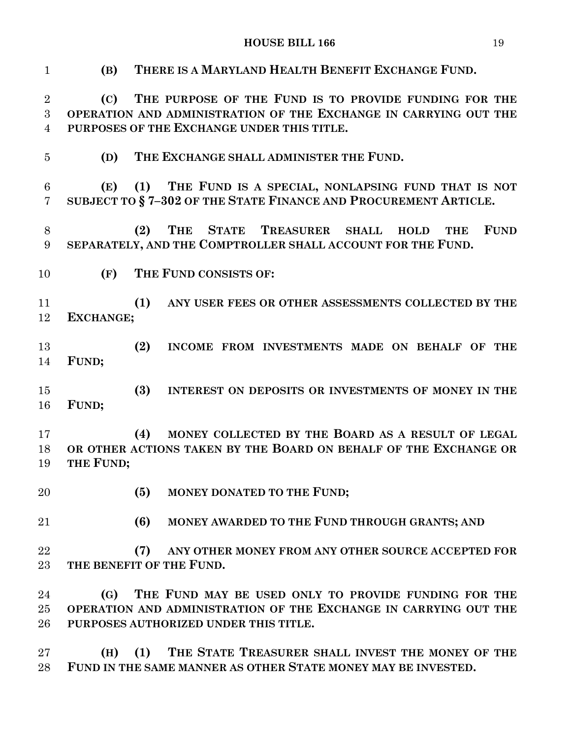**(B) THERE IS A MARYLAND HEALTH BENEFIT EXCHANGE FUND. (C) THE PURPOSE OF THE FUND IS TO PROVIDE FUNDING FOR THE OPERATION AND ADMINISTRATION OF THE EXCHANGE IN CARRYING OUT THE PURPOSES OF THE EXCHANGE UNDER THIS TITLE. (D) THE EXCHANGE SHALL ADMINISTER THE FUND. (E) (1) THE FUND IS A SPECIAL, NONLAPSING FUND THAT IS NOT SUBJECT TO § 7–302 OF THE STATE FINANCE AND PROCUREMENT ARTICLE. (2) THE STATE TREASURER SHALL HOLD THE FUND SEPARATELY, AND THE COMPTROLLER SHALL ACCOUNT FOR THE FUND. (F) THE FUND CONSISTS OF: (1) ANY USER FEES OR OTHER ASSESSMENTS COLLECTED BY THE EXCHANGE; (2) INCOME FROM INVESTMENTS MADE ON BEHALF OF THE FUND; (3) INTEREST ON DEPOSITS OR INVESTMENTS OF MONEY IN THE FUND; (4) MONEY COLLECTED BY THE BOARD AS A RESULT OF LEGAL OR OTHER ACTIONS TAKEN BY THE BOARD ON BEHALF OF THE EXCHANGE OR THE FUND; (5) MONEY DONATED TO THE FUND; (6) MONEY AWARDED TO THE FUND THROUGH GRANTS; AND (7) ANY OTHER MONEY FROM ANY OTHER SOURCE ACCEPTED FOR THE BENEFIT OF THE FUND. (G) THE FUND MAY BE USED ONLY TO PROVIDE FUNDING FOR THE OPERATION AND ADMINISTRATION OF THE EXCHANGE IN CARRYING OUT THE PURPOSES AUTHORIZED UNDER THIS TITLE. (H) (1) THE STATE TREASURER SHALL INVEST THE MONEY OF THE** 

**FUND IN THE SAME MANNER AS OTHER STATE MONEY MAY BE INVESTED.**

**HOUSE BILL 166** 19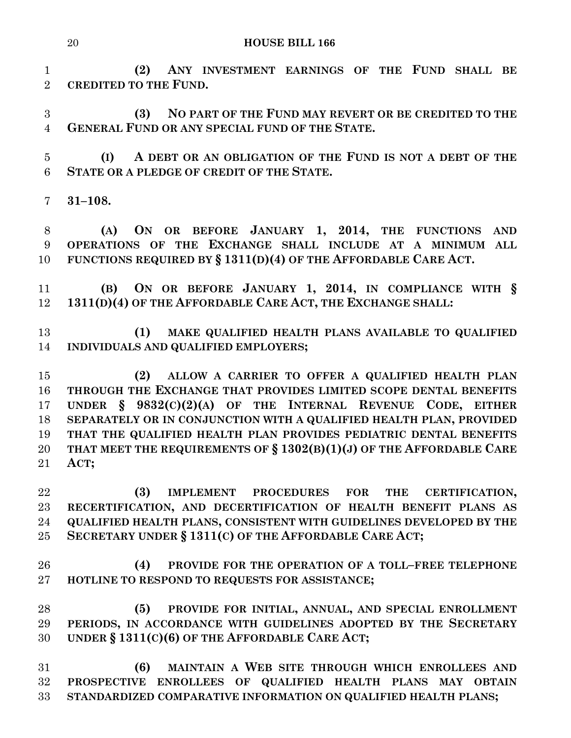**(2) ANY INVESTMENT EARNINGS OF THE FUND SHALL BE CREDITED TO THE FUND.**

 **(3) NO PART OF THE FUND MAY REVERT OR BE CREDITED TO THE GENERAL FUND OR ANY SPECIAL FUND OF THE STATE.**

 **(I) A DEBT OR AN OBLIGATION OF THE FUND IS NOT A DEBT OF THE STATE OR A PLEDGE OF CREDIT OF THE STATE.**

**31–108.**

 **(A) ON OR BEFORE JANUARY 1, 2014, THE FUNCTIONS AND OPERATIONS OF THE EXCHANGE SHALL INCLUDE AT A MINIMUM ALL FUNCTIONS REQUIRED BY § 1311(D)(4) OF THE AFFORDABLE CARE ACT.**

 **(B) ON OR BEFORE JANUARY 1, 2014, IN COMPLIANCE WITH § 1311(D)(4) OF THE AFFORDABLE CARE ACT, THE EXCHANGE SHALL:**

 **(1) MAKE QUALIFIED HEALTH PLANS AVAILABLE TO QUALIFIED INDIVIDUALS AND QUALIFIED EMPLOYERS;**

 **(2) ALLOW A CARRIER TO OFFER A QUALIFIED HEALTH PLAN THROUGH THE EXCHANGE THAT PROVIDES LIMITED SCOPE DENTAL BENEFITS UNDER § 9832(C)(2)(A) OF THE INTERNAL REVENUE CODE, EITHER SEPARATELY OR IN CONJUNCTION WITH A QUALIFIED HEALTH PLAN, PROVIDED THAT THE QUALIFIED HEALTH PLAN PROVIDES PEDIATRIC DENTAL BENEFITS THAT MEET THE REQUIREMENTS OF § 1302(B)(1)(J) OF THE AFFORDABLE CARE ACT;**

 **(3) IMPLEMENT PROCEDURES FOR THE CERTIFICATION, RECERTIFICATION, AND DECERTIFICATION OF HEALTH BENEFIT PLANS AS QUALIFIED HEALTH PLANS, CONSISTENT WITH GUIDELINES DEVELOPED BY THE SECRETARY UNDER § 1311(C) OF THE AFFORDABLE CARE ACT;**

 **(4) PROVIDE FOR THE OPERATION OF A TOLL–FREE TELEPHONE HOTLINE TO RESPOND TO REQUESTS FOR ASSISTANCE;**

 **(5) PROVIDE FOR INITIAL, ANNUAL, AND SPECIAL ENROLLMENT PERIODS, IN ACCORDANCE WITH GUIDELINES ADOPTED BY THE SECRETARY UNDER § 1311(C)(6) OF THE AFFORDABLE CARE ACT;**

 **(6) MAINTAIN A WEB SITE THROUGH WHICH ENROLLEES AND PROSPECTIVE ENROLLEES OF QUALIFIED HEALTH PLANS MAY OBTAIN STANDARDIZED COMPARATIVE INFORMATION ON QUALIFIED HEALTH PLANS;**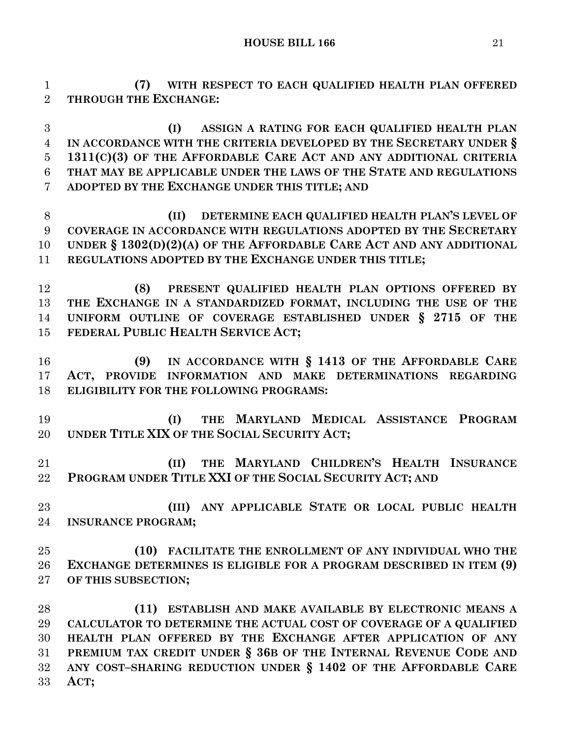**(7) WITH RESPECT TO EACH QUALIFIED HEALTH PLAN OFFERED THROUGH THE EXCHANGE:**

 **(I) ASSIGN A RATING FOR EACH QUALIFIED HEALTH PLAN IN ACCORDANCE WITH THE CRITERIA DEVELOPED BY THE SECRETARY UNDER § 1311(C)(3) OF THE AFFORDABLE CARE ACT AND ANY ADDITIONAL CRITERIA THAT MAY BE APPLICABLE UNDER THE LAWS OF THE STATE AND REGULATIONS ADOPTED BY THE EXCHANGE UNDER THIS TITLE; AND**

 **(II) DETERMINE EACH QUALIFIED HEALTH PLAN'S LEVEL OF COVERAGE IN ACCORDANCE WITH REGULATIONS ADOPTED BY THE SECRETARY UNDER § 1302(D)(2)(A) OF THE AFFORDABLE CARE ACT AND ANY ADDITIONAL REGULATIONS ADOPTED BY THE EXCHANGE UNDER THIS TITLE;**

 **(8) PRESENT QUALIFIED HEALTH PLAN OPTIONS OFFERED BY THE EXCHANGE IN A STANDARDIZED FORMAT, INCLUDING THE USE OF THE UNIFORM OUTLINE OF COVERAGE ESTABLISHED UNDER § 2715 OF THE FEDERAL PUBLIC HEALTH SERVICE ACT;**

 **(9) IN ACCORDANCE WITH § 1413 OF THE AFFORDABLE CARE ACT, PROVIDE INFORMATION AND MAKE DETERMINATIONS REGARDING ELIGIBILITY FOR THE FOLLOWING PROGRAMS:**

 **(I) THE MARYLAND MEDICAL ASSISTANCE PROGRAM UNDER TITLE XIX OF THE SOCIAL SECURITY ACT;**

 **(II) THE MARYLAND CHILDREN'S HEALTH INSURANCE PROGRAM UNDER TITLE XXI OF THE SOCIAL SECURITY ACT; AND**

 **(III) ANY APPLICABLE STATE OR LOCAL PUBLIC HEALTH INSURANCE PROGRAM;**

 **(10) FACILITATE THE ENROLLMENT OF ANY INDIVIDUAL WHO THE EXCHANGE DETERMINES IS ELIGIBLE FOR A PROGRAM DESCRIBED IN ITEM (9) OF THIS SUBSECTION;**

 **(11) ESTABLISH AND MAKE AVAILABLE BY ELECTRONIC MEANS A CALCULATOR TO DETERMINE THE ACTUAL COST OF COVERAGE OF A QUALIFIED HEALTH PLAN OFFERED BY THE EXCHANGE AFTER APPLICATION OF ANY PREMIUM TAX CREDIT UNDER § 36B OF THE INTERNAL REVENUE CODE AND ANY COST–SHARING REDUCTION UNDER § 1402 OF THE AFFORDABLE CARE ACT;**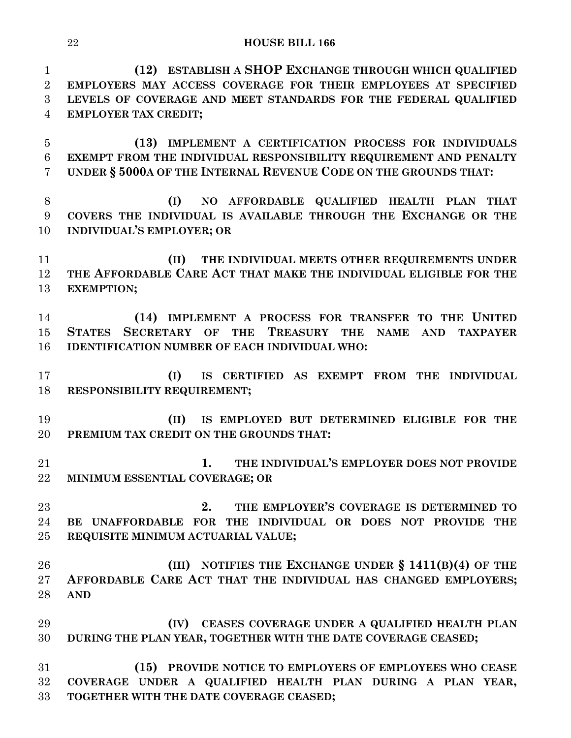**(12) ESTABLISH A SHOP EXCHANGE THROUGH WHICH QUALIFIED EMPLOYERS MAY ACCESS COVERAGE FOR THEIR EMPLOYEES AT SPECIFIED LEVELS OF COVERAGE AND MEET STANDARDS FOR THE FEDERAL QUALIFIED EMPLOYER TAX CREDIT; (13) IMPLEMENT A CERTIFICATION PROCESS FOR INDIVIDUALS** 

 **EXEMPT FROM THE INDIVIDUAL RESPONSIBILITY REQUIREMENT AND PENALTY UNDER § 5000A OF THE INTERNAL REVENUE CODE ON THE GROUNDS THAT:**

 **(I) NO AFFORDABLE QUALIFIED HEALTH PLAN THAT COVERS THE INDIVIDUAL IS AVAILABLE THROUGH THE EXCHANGE OR THE INDIVIDUAL'S EMPLOYER; OR**

 **(II) THE INDIVIDUAL MEETS OTHER REQUIREMENTS UNDER THE AFFORDABLE CARE ACT THAT MAKE THE INDIVIDUAL ELIGIBLE FOR THE EXEMPTION;**

 **(14) IMPLEMENT A PROCESS FOR TRANSFER TO THE UNITED STATES SECRETARY OF THE TREASURY THE NAME AND TAXPAYER IDENTIFICATION NUMBER OF EACH INDIVIDUAL WHO:**

 **(I) IS CERTIFIED AS EXEMPT FROM THE INDIVIDUAL RESPONSIBILITY REQUIREMENT;**

 **(II) IS EMPLOYED BUT DETERMINED ELIGIBLE FOR THE PREMIUM TAX CREDIT ON THE GROUNDS THAT:**

 **1. THE INDIVIDUAL'S EMPLOYER DOES NOT PROVIDE MINIMUM ESSENTIAL COVERAGE; OR**

 **2. THE EMPLOYER'S COVERAGE IS DETERMINED TO BE UNAFFORDABLE FOR THE INDIVIDUAL OR DOES NOT PROVIDE THE REQUISITE MINIMUM ACTUARIAL VALUE;**

 **(III) NOTIFIES THE EXCHANGE UNDER § 1411(B)(4) OF THE AFFORDABLE CARE ACT THAT THE INDIVIDUAL HAS CHANGED EMPLOYERS; AND**

 **(IV) CEASES COVERAGE UNDER A QUALIFIED HEALTH PLAN DURING THE PLAN YEAR, TOGETHER WITH THE DATE COVERAGE CEASED;**

 **(15) PROVIDE NOTICE TO EMPLOYERS OF EMPLOYEES WHO CEASE COVERAGE UNDER A QUALIFIED HEALTH PLAN DURING A PLAN YEAR, TOGETHER WITH THE DATE COVERAGE CEASED;**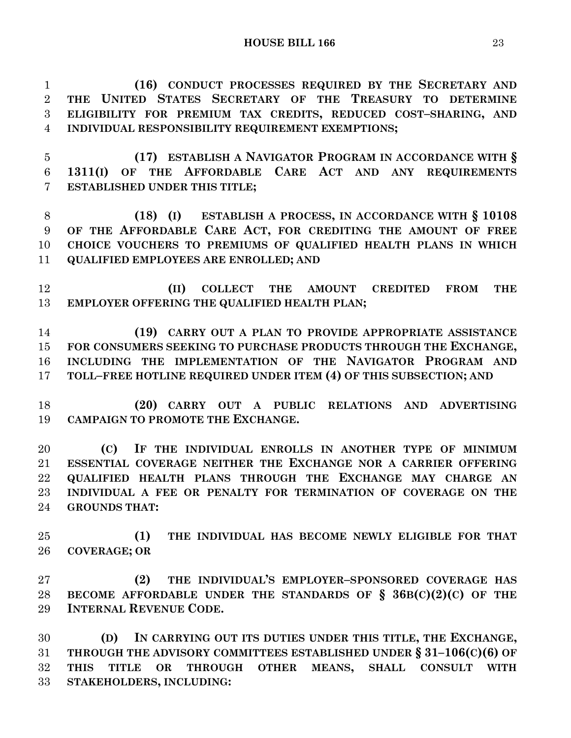**(16) CONDUCT PROCESSES REQUIRED BY THE SECRETARY AND THE UNITED STATES SECRETARY OF THE TREASURY TO DETERMINE ELIGIBILITY FOR PREMIUM TAX CREDITS, REDUCED COST–SHARING, AND INDIVIDUAL RESPONSIBILITY REQUIREMENT EXEMPTIONS;**

 **(17) ESTABLISH A NAVIGATOR PROGRAM IN ACCORDANCE WITH § 1311(I) OF THE AFFORDABLE CARE ACT AND ANY REQUIREMENTS ESTABLISHED UNDER THIS TITLE;**

 **(18) (I) ESTABLISH A PROCESS, IN ACCORDANCE WITH § 10108 OF THE AFFORDABLE CARE ACT, FOR CREDITING THE AMOUNT OF FREE CHOICE VOUCHERS TO PREMIUMS OF QUALIFIED HEALTH PLANS IN WHICH QUALIFIED EMPLOYEES ARE ENROLLED; AND**

 **(II) COLLECT THE AMOUNT CREDITED FROM THE EMPLOYER OFFERING THE QUALIFIED HEALTH PLAN;**

 **(19) CARRY OUT A PLAN TO PROVIDE APPROPRIATE ASSISTANCE FOR CONSUMERS SEEKING TO PURCHASE PRODUCTS THROUGH THE EXCHANGE, INCLUDING THE IMPLEMENTATION OF THE NAVIGATOR PROGRAM AND TOLL–FREE HOTLINE REQUIRED UNDER ITEM (4) OF THIS SUBSECTION; AND**

 **(20) CARRY OUT A PUBLIC RELATIONS AND ADVERTISING CAMPAIGN TO PROMOTE THE EXCHANGE.**

 **(C) IF THE INDIVIDUAL ENROLLS IN ANOTHER TYPE OF MINIMUM ESSENTIAL COVERAGE NEITHER THE EXCHANGE NOR A CARRIER OFFERING QUALIFIED HEALTH PLANS THROUGH THE EXCHANGE MAY CHARGE AN INDIVIDUAL A FEE OR PENALTY FOR TERMINATION OF COVERAGE ON THE GROUNDS THAT:**

 **(1) THE INDIVIDUAL HAS BECOME NEWLY ELIGIBLE FOR THAT COVERAGE; OR**

 **(2) THE INDIVIDUAL'S EMPLOYER–SPONSORED COVERAGE HAS BECOME AFFORDABLE UNDER THE STANDARDS OF § 36B(C)(2)(C) OF THE INTERNAL REVENUE CODE.**

 **(D) IN CARRYING OUT ITS DUTIES UNDER THIS TITLE, THE EXCHANGE, THROUGH THE ADVISORY COMMITTEES ESTABLISHED UNDER § 31–106(C)(6) OF THIS TITLE OR THROUGH OTHER MEANS, SHALL CONSULT WITH STAKEHOLDERS, INCLUDING:**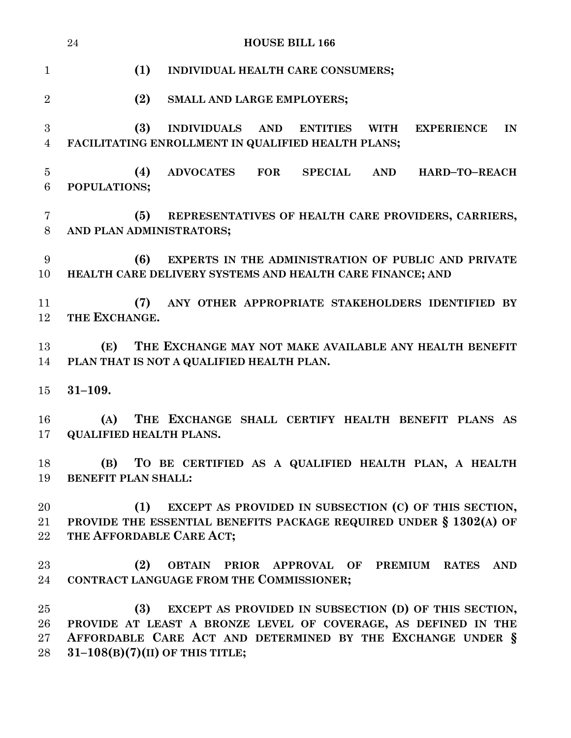|                          | 24<br><b>HOUSE BILL 166</b>                                                                                                                                                                                                       |
|--------------------------|-----------------------------------------------------------------------------------------------------------------------------------------------------------------------------------------------------------------------------------|
| $\mathbf{1}$             | (1)<br>INDIVIDUAL HEALTH CARE CONSUMERS;                                                                                                                                                                                          |
| $\overline{2}$           | (2)<br>SMALL AND LARGE EMPLOYERS;                                                                                                                                                                                                 |
| 3<br>4                   | (3)<br><b>INDIVIDUALS</b><br><b>AND</b><br><b>ENTITIES</b><br><b>WITH</b><br><b>EXPERIENCE</b><br>IN<br>FACILITATING ENROLLMENT IN QUALIFIED HEALTH PLANS;                                                                        |
| $\overline{5}$<br>6      | (4)<br>ADVOCATES FOR<br><b>SPECIAL</b><br><b>AND</b><br>HARD-TO-REACH<br>POPULATIONS;                                                                                                                                             |
| 7<br>8                   | (5)<br>REPRESENTATIVES OF HEALTH CARE PROVIDERS, CARRIERS,<br>AND PLAN ADMINISTRATORS;                                                                                                                                            |
| 9<br>10                  | (6)<br>EXPERTS IN THE ADMINISTRATION OF PUBLIC AND PRIVATE<br>HEALTH CARE DELIVERY SYSTEMS AND HEALTH CARE FINANCE; AND                                                                                                           |
| 11<br>12                 | (7)<br>ANY OTHER APPROPRIATE STAKEHOLDERS IDENTIFIED BY<br>THE EXCHANGE.                                                                                                                                                          |
| 13<br>14                 | THE EXCHANGE MAY NOT MAKE AVAILABLE ANY HEALTH BENEFIT<br>(E)<br>PLAN THAT IS NOT A QUALIFIED HEALTH PLAN.                                                                                                                        |
| 15                       | $31 - 109.$                                                                                                                                                                                                                       |
| 16<br>17                 | THE EXCHANGE SHALL CERTIFY HEALTH BENEFIT PLANS AS<br>(A)<br><b>QUALIFIED HEALTH PLANS.</b>                                                                                                                                       |
| 18<br>19                 | (B) TO BE CERTIFIED AS A QUALIFIED HEALTH PLAN, A HEALTH<br><b>BENEFIT PLAN SHALL:</b>                                                                                                                                            |
| 20<br>21<br>$22\,$       | EXCEPT AS PROVIDED IN SUBSECTION (C) OF THIS SECTION,<br>(1)<br>PROVIDE THE ESSENTIAL BENEFITS PACKAGE REQUIRED UNDER § 1302(A) OF<br>THE AFFORDABLE CARE ACT;                                                                    |
| 23<br>24                 | (2)<br>OBTAIN PRIOR APPROVAL OF PREMIUM RATES<br><b>AND</b><br>CONTRACT LANGUAGE FROM THE COMMISSIONER;                                                                                                                           |
| 25<br>26<br>$27\,$<br>28 | EXCEPT AS PROVIDED IN SUBSECTION (D) OF THIS SECTION,<br>(3)<br>PROVIDE AT LEAST A BRONZE LEVEL OF COVERAGE, AS DEFINED IN THE<br>AFFORDABLE CARE ACT AND DETERMINED BY THE EXCHANGE UNDER §<br>$31-108(B)(7)(II)$ OF THIS TITLE; |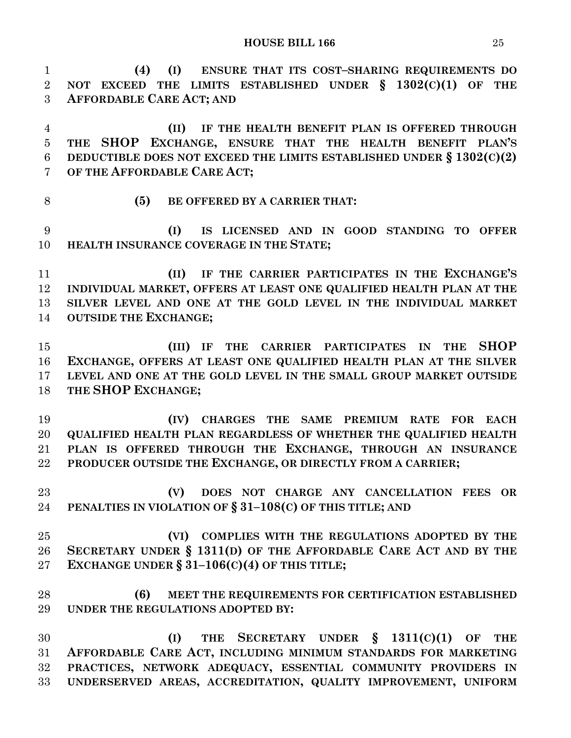| $\mathbf{1}$   | (4)<br>ENSURE THAT ITS COST-SHARING REQUIREMENTS DO<br>(I)              |
|----------------|-------------------------------------------------------------------------|
| $\overline{2}$ | NOT EXCEED THE LIMITS ESTABLISHED UNDER $\S$ 1302(C)(1) OF THE          |
| 3              | <b>AFFORDABLE CARE ACT; AND</b>                                         |
| $\overline{4}$ | IF THE HEALTH BENEFIT PLAN IS OFFERED THROUGH<br>(II)                   |
| $\bf 5$        | THE SHOP EXCHANGE, ENSURE THAT THE HEALTH BENEFIT PLAN'S                |
| $\,6$          | DEDUCTIBLE DOES NOT EXCEED THE LIMITS ESTABLISHED UNDER $\S 1302(C)(2)$ |
| 7              | OF THE AFFORDABLE CARE ACT;                                             |
| 8              | (5)<br>BE OFFERED BY A CARRIER THAT:                                    |
| 9              | (I)<br>IS LICENSED AND IN GOOD STANDING TO OFFER                        |
| 10             | HEALTH INSURANCE COVERAGE IN THE STATE;                                 |
| 11             | IF THE CARRIER PARTICIPATES IN THE EXCHANGE'S<br>(II)                   |
| 12             | INDIVIDUAL MARKET, OFFERS AT LEAST ONE QUALIFIED HEALTH PLAN AT THE     |
| 13             | SILVER LEVEL AND ONE AT THE GOLD LEVEL IN THE INDIVIDUAL MARKET         |
| 14             | <b>OUTSIDE THE EXCHANGE;</b>                                            |
| 15             | <b>SHOP</b><br>IF THE CARRIER PARTICIPATES IN<br><b>THE</b><br>(III)    |
| 16             | EXCHANGE, OFFERS AT LEAST ONE QUALIFIED HEALTH PLAN AT THE SILVER       |
| 17             | LEVEL AND ONE AT THE GOLD LEVEL IN THE SMALL GROUP MARKET OUTSIDE       |
| 18             | THE SHOP EXCHANGE;                                                      |
| 19             | (IV) CHARGES THE SAME PREMIUM RATE FOR EACH                             |
| 20             | QUALIFIED HEALTH PLAN REGARDLESS OF WHETHER THE QUALIFIED HEALTH        |
| 21             | PLAN IS OFFERED THROUGH THE EXCHANGE, THROUGH AN INSURANCE              |
| 22             | PRODUCER OUTSIDE THE EXCHANGE, OR DIRECTLY FROM A CARRIER;              |
| 23             | DOES NOT CHARGE ANY CANCELLATION FEES OR<br>(V)                         |
| 24             | PENALTIES IN VIOLATION OF § 31-108(C) OF THIS TITLE; AND                |
| 25             | (VI) COMPLIES WITH THE REGULATIONS ADOPTED BY THE                       |
| 26             | SECRETARY UNDER § 1311(D) OF THE AFFORDABLE CARE ACT AND BY THE         |
| 27             | EXCHANGE UNDER $\S 31-106(C)(4)$ OF THIS TITLE;                         |
| 28             | (6)<br>MEET THE REQUIREMENTS FOR CERTIFICATION ESTABLISHED              |
| 29             | UNDER THE REGULATIONS ADOPTED BY:                                       |
| 30             | THE SECRETARY UNDER $\S$ 1311(C)(1)<br>(I)<br>OF<br><b>THE</b>          |
| 31             | AFFORDABLE CARE ACT, INCLUDING MINIMUM STANDARDS FOR MARKETING          |
| 32             | PRACTICES, NETWORK ADEQUACY, ESSENTIAL COMMUNITY PROVIDERS IN           |
| 33             | UNDERSERVED AREAS, ACCREDITATION, QUALITY IMPROVEMENT, UNIFORM          |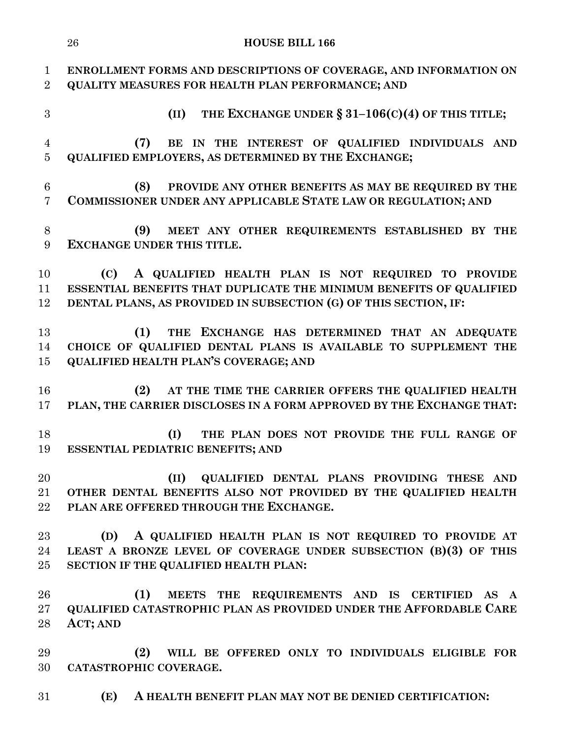|                                | 26<br><b>HOUSE BILL 166</b>                                                                                                   |
|--------------------------------|-------------------------------------------------------------------------------------------------------------------------------|
| $\mathbf{1}$<br>$\overline{2}$ | ENROLLMENT FORMS AND DESCRIPTIONS OF COVERAGE, AND INFORMATION ON<br><b>QUALITY MEASURES FOR HEALTH PLAN PERFORMANCE; AND</b> |
| 3                              | THE EXCHANGE UNDER $\S 31-106(C)(4)$ OF THIS TITLE;<br>(II)                                                                   |
| $\overline{4}$                 | BE IN THE INTEREST OF QUALIFIED INDIVIDUALS AND<br>(7)                                                                        |
| $\overline{5}$                 | <b>QUALIFIED EMPLOYERS, AS DETERMINED BY THE EXCHANGE;</b>                                                                    |
| 6<br>$\overline{7}$            | PROVIDE ANY OTHER BENEFITS AS MAY BE REQUIRED BY THE<br>(8)<br>COMMISSIONER UNDER ANY APPLICABLE STATE LAW OR REGULATION; AND |
| 8<br>9                         | MEET ANY OTHER REQUIREMENTS ESTABLISHED BY THE<br>(9)<br><b>EXCHANGE UNDER THIS TITLE.</b>                                    |
| 10                             | A QUALIFIED HEALTH PLAN IS NOT REQUIRED TO PROVIDE<br>(C)                                                                     |
| 11                             | ESSENTIAL BENEFITS THAT DUPLICATE THE MINIMUM BENEFITS OF QUALIFIED                                                           |
| 12                             | DENTAL PLANS, AS PROVIDED IN SUBSECTION (G) OF THIS SECTION, IF:                                                              |
| 13                             | THE EXCHANGE HAS DETERMINED THAT AN ADEQUATE<br>(1)                                                                           |
| 14                             | CHOICE OF QUALIFIED DENTAL PLANS IS AVAILABLE TO SUPPLEMENT THE                                                               |
| 15                             | <b>QUALIFIED HEALTH PLAN'S COVERAGE; AND</b>                                                                                  |
| 16                             | AT THE TIME THE CARRIER OFFERS THE QUALIFIED HEALTH<br>(2)                                                                    |
| 17                             | PLAN, THE CARRIER DISCLOSES IN A FORM APPROVED BY THE EXCHANGE THAT:                                                          |
| 18                             | (I)<br>THE PLAN DOES NOT PROVIDE THE FULL RANGE OF                                                                            |
| 19                             | <b>ESSENTIAL PEDIATRIC BENEFITS; AND</b>                                                                                      |
| 20                             | (II)<br>QUALIFIED DENTAL PLANS PROVIDING THESE AND                                                                            |
| $21\,$                         | OTHER DENTAL BENEFITS ALSO NOT PROVIDED BY THE QUALIFIED HEALTH                                                               |
| 22                             | PLAN ARE OFFERED THROUGH THE EXCHANGE.                                                                                        |
| 23                             | A QUALIFIED HEALTH PLAN IS NOT REQUIRED TO PROVIDE AT<br>(D)                                                                  |
| 24                             | LEAST A BRONZE LEVEL OF COVERAGE UNDER SUBSECTION (B)(3) OF THIS                                                              |
| $25\,$                         | SECTION IF THE QUALIFIED HEALTH PLAN:                                                                                         |
| 26                             | (1)<br>MEETS THE REQUIREMENTS AND IS CERTIFIED AS A                                                                           |
| $27\,$                         | QUALIFIED CATASTROPHIC PLAN AS PROVIDED UNDER THE AFFORDABLE CARE                                                             |
| 28                             | ACT; AND                                                                                                                      |
| 29                             | WILL BE OFFERED ONLY TO INDIVIDUALS ELIGIBLE FOR<br>(2)                                                                       |
| 30                             | CATASTROPHIC COVERAGE.                                                                                                        |
| $31\,$                         | (E)<br>A HEALTH BENEFIT PLAN MAY NOT BE DENIED CERTIFICATION:                                                                 |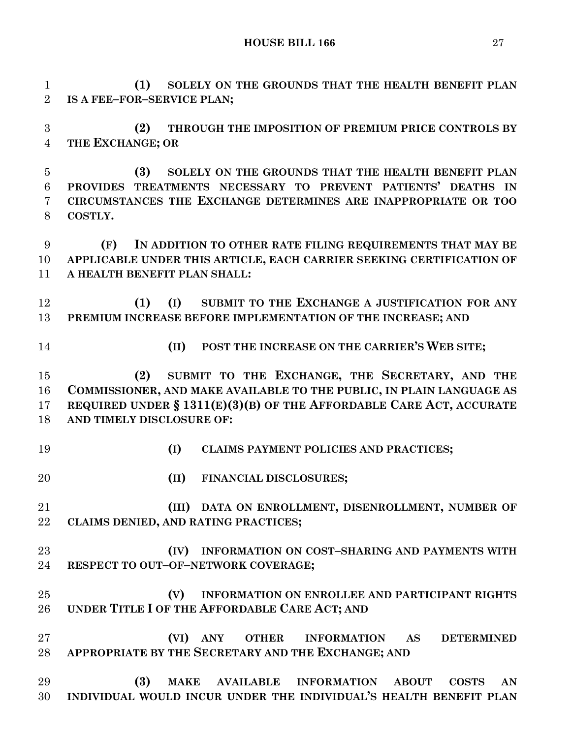**HOUSE BILL 166** 27

**(1) SOLELY ON THE GROUNDS THAT THE HEALTH BENEFIT PLAN** 

 **IS A FEE–FOR–SERVICE PLAN; (2) THROUGH THE IMPOSITION OF PREMIUM PRICE CONTROLS BY THE EXCHANGE; OR (3) SOLELY ON THE GROUNDS THAT THE HEALTH BENEFIT PLAN PROVIDES TREATMENTS NECESSARY TO PREVENT PATIENTS' DEATHS IN CIRCUMSTANCES THE EXCHANGE DETERMINES ARE INAPPROPRIATE OR TOO COSTLY. (F) IN ADDITION TO OTHER RATE FILING REQUIREMENTS THAT MAY BE APPLICABLE UNDER THIS ARTICLE, EACH CARRIER SEEKING CERTIFICATION OF A HEALTH BENEFIT PLAN SHALL: (1) (I) SUBMIT TO THE EXCHANGE A JUSTIFICATION FOR ANY PREMIUM INCREASE BEFORE IMPLEMENTATION OF THE INCREASE; AND (II) POST THE INCREASE ON THE CARRIER'S WEB SITE; (2) SUBMIT TO THE EXCHANGE, THE SECRETARY, AND THE COMMISSIONER, AND MAKE AVAILABLE TO THE PUBLIC, IN PLAIN LANGUAGE AS REQUIRED UNDER § 1311(E)(3)(B) OF THE AFFORDABLE CARE ACT, ACCURATE AND TIMELY DISCLOSURE OF: (I) CLAIMS PAYMENT POLICIES AND PRACTICES; (II) FINANCIAL DISCLOSURES; (III) DATA ON ENROLLMENT, DISENROLLMENT, NUMBER OF CLAIMS DENIED, AND RATING PRACTICES; (IV) INFORMATION ON COST–SHARING AND PAYMENTS WITH RESPECT TO OUT–OF–NETWORK COVERAGE; (V) INFORMATION ON ENROLLEE AND PARTICIPANT RIGHTS UNDER TITLE I OF THE AFFORDABLE CARE ACT; AND (VI) ANY OTHER INFORMATION AS DETERMINED APPROPRIATE BY THE SECRETARY AND THE EXCHANGE; AND (3) MAKE AVAILABLE INFORMATION ABOUT COSTS AN INDIVIDUAL WOULD INCUR UNDER THE INDIVIDUAL'S HEALTH BENEFIT PLAN**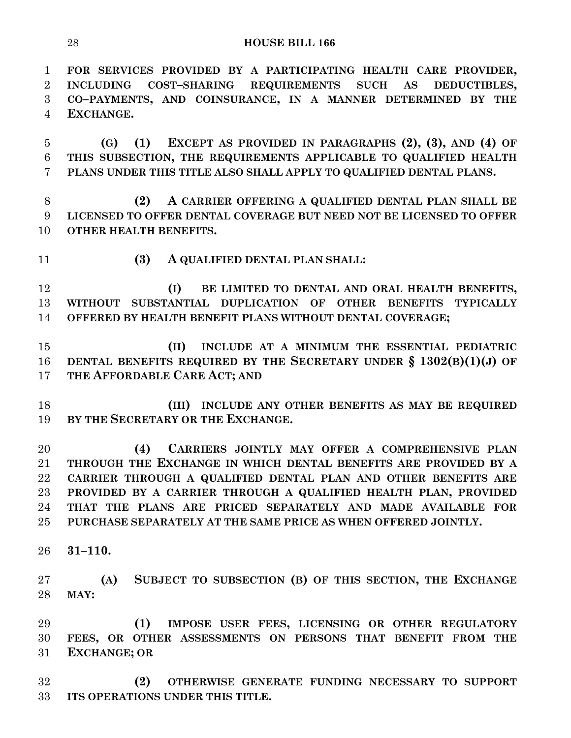**FOR SERVICES PROVIDED BY A PARTICIPATING HEALTH CARE PROVIDER, INCLUDING COST–SHARING REQUIREMENTS SUCH AS DEDUCTIBLES, CO–PAYMENTS, AND COINSURANCE, IN A MANNER DETERMINED BY THE EXCHANGE.**

 **(G) (1) EXCEPT AS PROVIDED IN PARAGRAPHS (2), (3), AND (4) OF THIS SUBSECTION, THE REQUIREMENTS APPLICABLE TO QUALIFIED HEALTH PLANS UNDER THIS TITLE ALSO SHALL APPLY TO QUALIFIED DENTAL PLANS.**

 **(2) A CARRIER OFFERING A QUALIFIED DENTAL PLAN SHALL BE LICENSED TO OFFER DENTAL COVERAGE BUT NEED NOT BE LICENSED TO OFFER OTHER HEALTH BENEFITS.**

**(3) A QUALIFIED DENTAL PLAN SHALL:**

 **(I) BE LIMITED TO DENTAL AND ORAL HEALTH BENEFITS, WITHOUT SUBSTANTIAL DUPLICATION OF OTHER BENEFITS TYPICALLY OFFERED BY HEALTH BENEFIT PLANS WITHOUT DENTAL COVERAGE;**

 **(II) INCLUDE AT A MINIMUM THE ESSENTIAL PEDIATRIC DENTAL BENEFITS REQUIRED BY THE SECRETARY UNDER § 1302(B)(1)(J) OF THE AFFORDABLE CARE ACT; AND**

 **(III) INCLUDE ANY OTHER BENEFITS AS MAY BE REQUIRED BY THE SECRETARY OR THE EXCHANGE.**

 **(4) CARRIERS JOINTLY MAY OFFER A COMPREHENSIVE PLAN THROUGH THE EXCHANGE IN WHICH DENTAL BENEFITS ARE PROVIDED BY A CARRIER THROUGH A QUALIFIED DENTAL PLAN AND OTHER BENEFITS ARE PROVIDED BY A CARRIER THROUGH A QUALIFIED HEALTH PLAN, PROVIDED THAT THE PLANS ARE PRICED SEPARATELY AND MADE AVAILABLE FOR PURCHASE SEPARATELY AT THE SAME PRICE AS WHEN OFFERED JOINTLY.**

**31–110.**

 **(A) SUBJECT TO SUBSECTION (B) OF THIS SECTION, THE EXCHANGE MAY:**

 **(1) IMPOSE USER FEES, LICENSING OR OTHER REGULATORY FEES, OR OTHER ASSESSMENTS ON PERSONS THAT BENEFIT FROM THE EXCHANGE; OR** 

 **(2) OTHERWISE GENERATE FUNDING NECESSARY TO SUPPORT ITS OPERATIONS UNDER THIS TITLE.**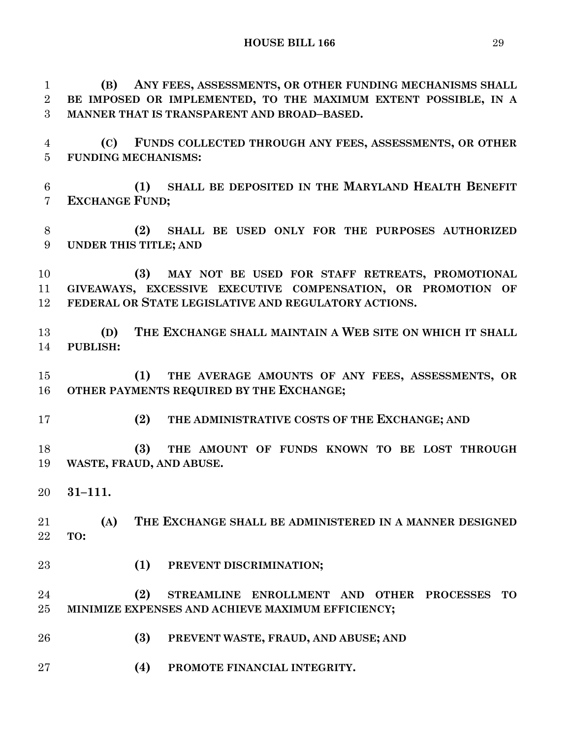**(B) ANY FEES, ASSESSMENTS, OR OTHER FUNDING MECHANISMS SHALL BE IMPOSED OR IMPLEMENTED, TO THE MAXIMUM EXTENT POSSIBLE, IN A MANNER THAT IS TRANSPARENT AND BROAD–BASED.**

 **(C) FUNDS COLLECTED THROUGH ANY FEES, ASSESSMENTS, OR OTHER FUNDING MECHANISMS:**

 **(1) SHALL BE DEPOSITED IN THE MARYLAND HEALTH BENEFIT EXCHANGE FUND;**

 **(2) SHALL BE USED ONLY FOR THE PURPOSES AUTHORIZED UNDER THIS TITLE; AND**

 **(3) MAY NOT BE USED FOR STAFF RETREATS, PROMOTIONAL GIVEAWAYS, EXCESSIVE EXECUTIVE COMPENSATION, OR PROMOTION OF FEDERAL OR STATE LEGISLATIVE AND REGULATORY ACTIONS.**

 **(D) THE EXCHANGE SHALL MAINTAIN A WEB SITE ON WHICH IT SHALL PUBLISH:**

 **(1) THE AVERAGE AMOUNTS OF ANY FEES, ASSESSMENTS, OR OTHER PAYMENTS REQUIRED BY THE EXCHANGE;**

**(2) THE ADMINISTRATIVE COSTS OF THE EXCHANGE; AND**

 **(3) THE AMOUNT OF FUNDS KNOWN TO BE LOST THROUGH WASTE, FRAUD, AND ABUSE.**

**31–111.**

 **(A) THE EXCHANGE SHALL BE ADMINISTERED IN A MANNER DESIGNED TO:**

**(1) PREVENT DISCRIMINATION;**

 **(2) STREAMLINE ENROLLMENT AND OTHER PROCESSES TO MINIMIZE EXPENSES AND ACHIEVE MAXIMUM EFFICIENCY;**

- **(3) PREVENT WASTE, FRAUD, AND ABUSE; AND**
- **(4) PROMOTE FINANCIAL INTEGRITY.**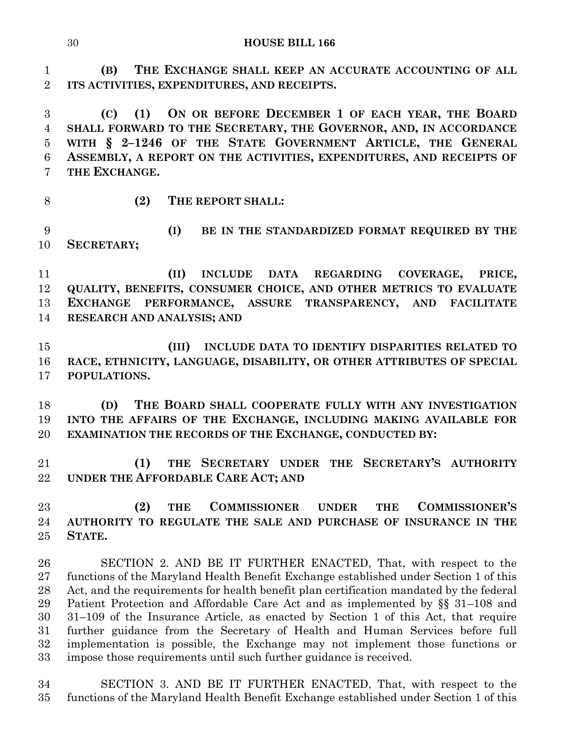**(B) THE EXCHANGE SHALL KEEP AN ACCURATE ACCOUNTING OF ALL ITS ACTIVITIES, EXPENDITURES, AND RECEIPTS. (2) THE REPORT SHALL:** SECTION 2. AND BE IT FURTHER ENACTED, That, with respect to the functions of the Maryland Health Benefit Exchange established under Section 1 of this Act, and the requirements for health benefit plan certification mandated by the federal Patient Protection and Affordable Care Act and as implemented by §§ 31–108 and 31–109 of the Insurance Article, as enacted by Section 1 of this Act, that require further guidance from the Secretary of Health and Human Services before full implementation is possible, the Exchange may not implement those functions or impose those requirements until such further guidance is received.

 SECTION 3. AND BE IT FURTHER ENACTED, That, with respect to the functions of the Maryland Health Benefit Exchange established under Section 1 of this

**HOUSE BILL 166**

 **(C) (1) ON OR BEFORE DECEMBER 1 OF EACH YEAR, THE BOARD SHALL FORWARD TO THE SECRETARY, THE GOVERNOR, AND, IN ACCORDANCE WITH § 2–1246 OF THE STATE GOVERNMENT ARTICLE, THE GENERAL ASSEMBLY, A REPORT ON THE ACTIVITIES, EXPENDITURES, AND RECEIPTS OF THE EXCHANGE.**

 **(I) BE IN THE STANDARDIZED FORMAT REQUIRED BY THE SECRETARY;**

 **(II) INCLUDE DATA REGARDING COVERAGE, PRICE, QUALITY, BENEFITS, CONSUMER CHOICE, AND OTHER METRICS TO EVALUATE EXCHANGE PERFORMANCE, ASSURE TRANSPARENCY, AND FACILITATE RESEARCH AND ANALYSIS; AND**

 **(III) INCLUDE DATA TO IDENTIFY DISPARITIES RELATED TO RACE, ETHNICITY, LANGUAGE, DISABILITY, OR OTHER ATTRIBUTES OF SPECIAL POPULATIONS.**

 **(D) THE BOARD SHALL COOPERATE FULLY WITH ANY INVESTIGATION INTO THE AFFAIRS OF THE EXCHANGE, INCLUDING MAKING AVAILABLE FOR EXAMINATION THE RECORDS OF THE EXCHANGE, CONDUCTED BY:**

 **(1) THE SECRETARY UNDER THE SECRETARY'S AUTHORITY UNDER THE AFFORDABLE CARE ACT; AND**

 **(2) THE COMMISSIONER UNDER THE COMMISSIONER'S AUTHORITY TO REGULATE THE SALE AND PURCHASE OF INSURANCE IN THE STATE.**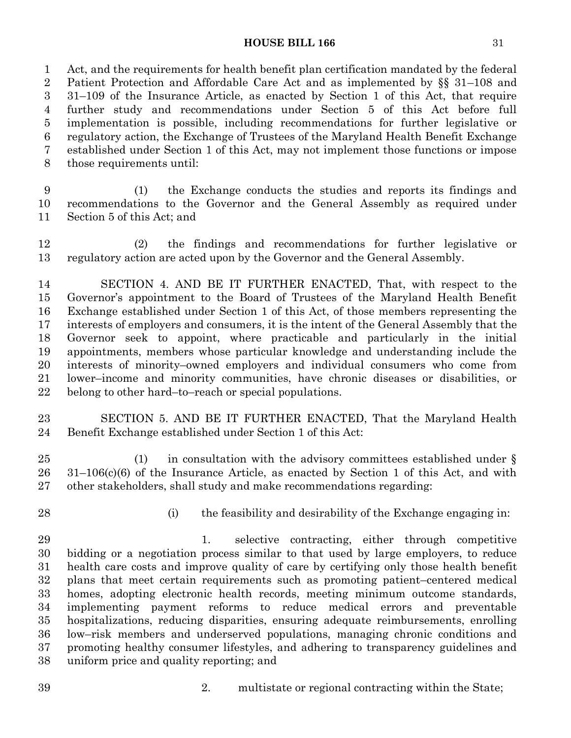### **HOUSE BILL 166** 31

 Act, and the requirements for health benefit plan certification mandated by the federal Patient Protection and Affordable Care Act and as implemented by §§ 31–108 and 31–109 of the Insurance Article, as enacted by Section 1 of this Act, that require further study and recommendations under Section 5 of this Act before full implementation is possible, including recommendations for further legislative or regulatory action, the Exchange of Trustees of the Maryland Health Benefit Exchange established under Section 1 of this Act, may not implement those functions or impose those requirements until:

 (1) the Exchange conducts the studies and reports its findings and recommendations to the Governor and the General Assembly as required under Section 5 of this Act; and

 (2) the findings and recommendations for further legislative or regulatory action are acted upon by the Governor and the General Assembly.

 SECTION 4. AND BE IT FURTHER ENACTED, That, with respect to the Governor's appointment to the Board of Trustees of the Maryland Health Benefit Exchange established under Section 1 of this Act, of those members representing the interests of employers and consumers, it is the intent of the General Assembly that the Governor seek to appoint, where practicable and particularly in the initial appointments, members whose particular knowledge and understanding include the interests of minority–owned employers and individual consumers who come from lower–income and minority communities, have chronic diseases or disabilities, or belong to other hard–to–reach or special populations.

 SECTION 5. AND BE IT FURTHER ENACTED, That the Maryland Health Benefit Exchange established under Section 1 of this Act:

25 (1) in consultation with the advisory committees established under § 31–106(c)(6) of the Insurance Article, as enacted by Section 1 of this Act, and with other stakeholders, shall study and make recommendations regarding:

- 
- (i) the feasibility and desirability of the Exchange engaging in:

 1. selective contracting, either through competitive bidding or a negotiation process similar to that used by large employers, to reduce health care costs and improve quality of care by certifying only those health benefit plans that meet certain requirements such as promoting patient–centered medical homes, adopting electronic health records, meeting minimum outcome standards, implementing payment reforms to reduce medical errors and preventable hospitalizations, reducing disparities, ensuring adequate reimbursements, enrolling low–risk members and underserved populations, managing chronic conditions and promoting healthy consumer lifestyles, and adhering to transparency guidelines and uniform price and quality reporting; and

2. multistate or regional contracting within the State;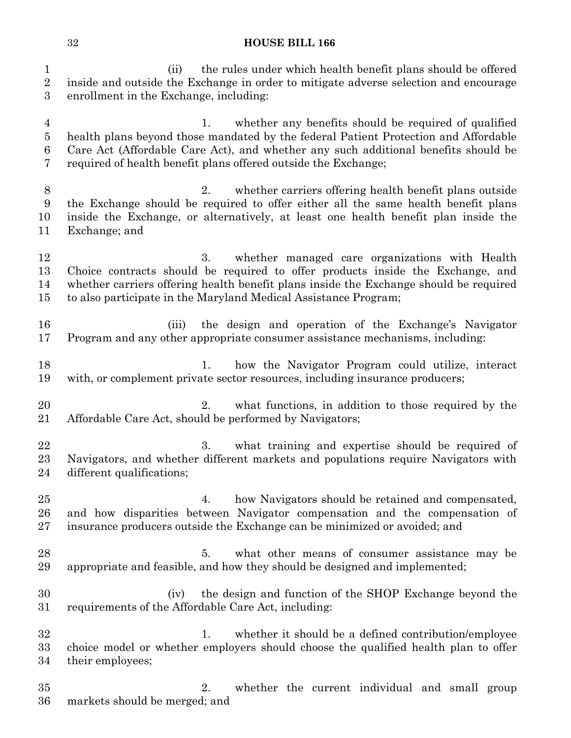(ii) the rules under which health benefit plans should be offered inside and outside the Exchange in order to mitigate adverse selection and encourage enrollment in the Exchange, including:

- 1. whether any benefits should be required of qualified health plans beyond those mandated by the federal Patient Protection and Affordable Care Act (Affordable Care Act), and whether any such additional benefits should be required of health benefit plans offered outside the Exchange;
- 2. whether carriers offering health benefit plans outside the Exchange should be required to offer either all the same health benefit plans inside the Exchange, or alternatively, at least one health benefit plan inside the Exchange; and
- 3. whether managed care organizations with Health Choice contracts should be required to offer products inside the Exchange, and whether carriers offering health benefit plans inside the Exchange should be required to also participate in the Maryland Medical Assistance Program;
- (iii) the design and operation of the Exchange's Navigator Program and any other appropriate consumer assistance mechanisms, including:
- 18 18 1. how the Navigator Program could utilize, interact with, or complement private sector resources, including insurance producers;
- 20 2. what functions, in addition to those required by the Affordable Care Act, should be performed by Navigators;
- 22 3. what training and expertise should be required of Navigators, and whether different markets and populations require Navigators with different qualifications;
- 4. how Navigators should be retained and compensated, and how disparities between Navigator compensation and the compensation of insurance producers outside the Exchange can be minimized or avoided; and
- 5. what other means of consumer assistance may be appropriate and feasible, and how they should be designed and implemented;
- (iv) the design and function of the SHOP Exchange beyond the requirements of the Affordable Care Act, including:
- 32 1. whether it should be a defined contribution/employee choice model or whether employers should choose the qualified health plan to offer their employees;
- 2. whether the current individual and small group markets should be merged; and